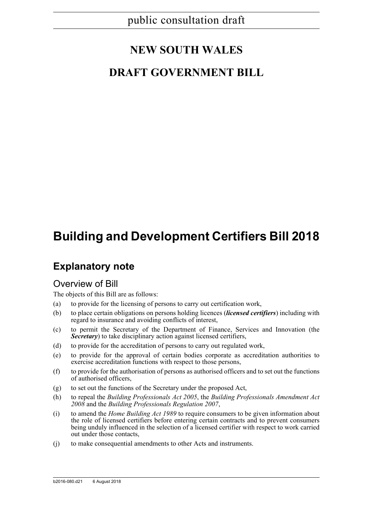# **NEW SOUTH WALES**

## **DRAFT GOVERNMENT BILL**

# **Building and Development Certifiers Bill 2018**

## **Explanatory note**

## Overview of Bill

The objects of this Bill are as follows:

- (a) to provide for the licensing of persons to carry out certification work,
- (b) to place certain obligations on persons holding licences (*licensed certifiers*) including with regard to insurance and avoiding conflicts of interest,
- (c) to permit the Secretary of the Department of Finance, Services and Innovation (the *Secretary*) to take disciplinary action against licensed certifiers,
- (d) to provide for the accreditation of persons to carry out regulated work,
- (e) to provide for the approval of certain bodies corporate as accreditation authorities to exercise accreditation functions with respect to those persons,
- (f) to provide for the authorisation of persons as authorised officers and to set out the functions of authorised officers,
- (g) to set out the functions of the Secretary under the proposed Act,
- (h) to repeal the *Building Professionals Act 2005*, the *Building Professionals Amendment Act 2008* and the *Building Professionals Regulation 2007*,
- (i) to amend the *Home Building Act 1989* to require consumers to be given information about the role of licensed certifiers before entering certain contracts and to prevent consumers being unduly influenced in the selection of a licensed certifier with respect to work carried out under those contacts,
- (j) to make consequential amendments to other Acts and instruments.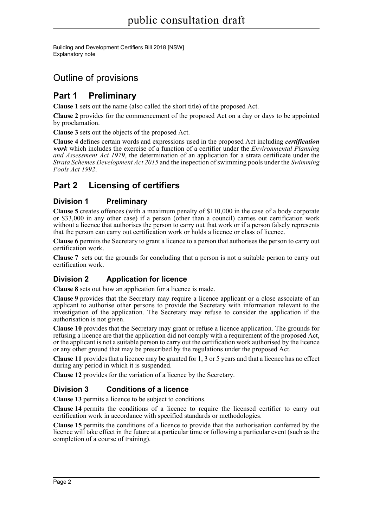Building and Development Certifiers Bill 2018 [NSW] Explanatory note

## Outline of provisions

## **Part 1 Preliminary**

**Clause 1** sets out the name (also called the short title) of the proposed Act.

**Clause 2** provides for the commencement of the proposed Act on a day or days to be appointed by proclamation.

**Clause 3** sets out the objects of the proposed Act.

**Clause 4** defines certain words and expressions used in the proposed Act including *certification work* which includes the exercise of a function of a certifier under the *Environmental Planning and Assessment Act 1979*, the determination of an application for a strata certificate under the *Strata Schemes Development Act 2015* and the inspection of swimming pools under the *Swimming Pools Act 1992*.

## **Part 2 Licensing of certifiers**

### **Division 1 Preliminary**

**Clause 5** creates offences (with a maximum penalty of \$110,000 in the case of a body corporate or \$33,000 in any other case) if a person (other than a council) carries out certification work without a licence that authorises the person to carry out that work or if a person falsely represents that the person can carry out certification work or holds a licence or class of licence.

**Clause 6** permits the Secretary to grant a licence to a person that authorises the person to carry out certification work.

**Clause 7** sets out the grounds for concluding that a person is not a suitable person to carry out certification work.

### **Division 2 Application for licence**

**Clause 8** sets out how an application for a licence is made.

**Clause 9** provides that the Secretary may require a licence applicant or a close associate of an applicant to authorise other persons to provide the Secretary with information relevant to the investigation of the application. The Secretary may refuse to consider the application if the authorisation is not given.

**Clause 10** provides that the Secretary may grant or refuse a licence application. The grounds for refusing a licence are that the application did not comply with a requirement of the proposed Act, or the applicant is not a suitable person to carry out the certification work authorised by the licence or any other ground that may be prescribed by the regulations under the proposed Act.

**Clause 11** provides that a licence may be granted for 1, 3 or 5 years and that a licence has no effect during any period in which it is suspended.

**Clause 12** provides for the variation of a licence by the Secretary.

### **Division 3 Conditions of a licence**

**Clause 13** permits a licence to be subject to conditions.

**Clause 14** permits the conditions of a licence to require the licensed certifier to carry out certification work in accordance with specified standards or methodologies.

**Clause 15** permits the conditions of a licence to provide that the authorisation conferred by the licence will take effect in the future at a particular time or following a particular event (such as the completion of a course of training).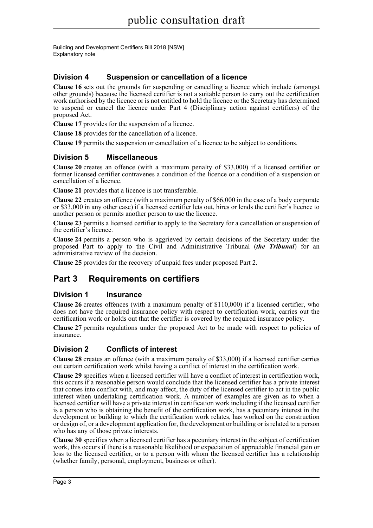### **Division 4 Suspension or cancellation of a licence**

**Clause 16** sets out the grounds for suspending or cancelling a licence which include (amongst other grounds) because the licensed certifier is not a suitable person to carry out the certification work authorised by the licence or is not entitled to hold the licence or the Secretary has determined to suspend or cancel the licence under Part 4 (Disciplinary action against certifiers) of the proposed Act.

**Clause 17** provides for the suspension of a licence.

**Clause 18** provides for the cancellation of a licence.

**Clause 19** permits the suspension or cancellation of a licence to be subject to conditions.

### **Division 5 Miscellaneous**

**Clause 20** creates an offence (with a maximum penalty of \$33,000) if a licensed certifier or former licensed certifier contravenes a condition of the licence or a condition of a suspension or cancellation of a licence.

**Clause 21** provides that a licence is not transferable.

**Clause 22** creates an offence (with a maximum penalty of \$66,000 in the case of a body corporate or \$33,000 in any other case) if a licensed certifier lets out, hires or lends the certifier's licence to another person or permits another person to use the licence.

**Clause 23** permits a licensed certifier to apply to the Secretary for a cancellation or suspension of the certifier's licence.

**Clause 24** permits a person who is aggrieved by certain decisions of the Secretary under the proposed Part to apply to the Civil and Administrative Tribunal (*the Tribunal*) for an administrative review of the decision.

**Clause 25** provides for the recovery of unpaid fees under proposed Part 2.

## **Part 3 Requirements on certifiers**

### **Division 1 Insurance**

**Clause 26** creates offences (with a maximum penalty of \$110,000) if a licensed certifier, who does not have the required insurance policy with respect to certification work, carries out the certification work or holds out that the certifier is covered by the required insurance policy.

**Clause 27** permits regulations under the proposed Act to be made with respect to policies of insurance.

### **Division 2 Conflicts of interest**

**Clause 28** creates an offence (with a maximum penalty of \$33,000) if a licensed certifier carries out certain certification work whilst having a conflict of interest in the certification work.

**Clause 29** specifies when a licensed certifier will have a conflict of interest in certification work, this occurs if a reasonable person would conclude that the licensed certifier has a private interest that comes into conflict with, and may affect, the duty of the licensed certifier to act in the public interest when undertaking certification work. A number of examples are given as to when a licensed certifier will have a private interest in certification work including if the licensed certifier is a person who is obtaining the benefit of the certification work, has a pecuniary interest in the development or building to which the certification work relates, has worked on the construction or design of, or a development application for, the development or building or is related to a person who has any of those private interests.

**Clause 30** specifies when a licensed certifier has a pecuniary interest in the subject of certification work, this occurs if there is a reasonable likelihood or expectation of appreciable financial gain or loss to the licensed certifier, or to a person with whom the licensed certifier has a relationship (whether family, personal, employment, business or other).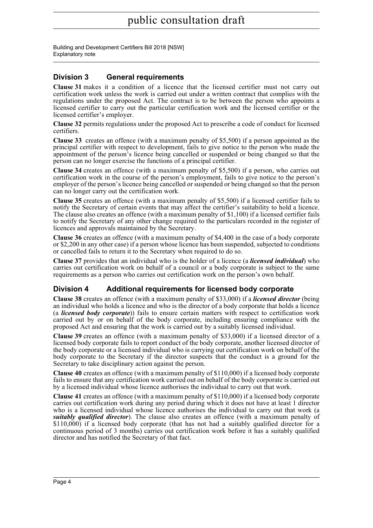### **Division 3 General requirements**

**Clause 31** makes it a condition of a licence that the licensed certifier must not carry out certification work unless the work is carried out under a written contract that complies with the regulations under the proposed Act. The contract is to be between the person who appoints a licensed certifier to carry out the particular certification work and the licensed certifier or the licensed certifier's employer.

**Clause 32** permits regulations under the proposed Act to prescribe a code of conduct for licensed certifiers.

**Clause 33** creates an offence (with a maximum penalty of \$5,500) if a person appointed as the principal certifier with respect to development, fails to give notice to the person who made the appointment of the person's licence being cancelled or suspended or being changed so that the person can no longer exercise the functions of a principal certifier.

**Clause 34** creates an offence (with a maximum penalty of \$5,500) if a person, who carries out certification work in the course of the person's employment, fails to give notice to the person's employer of the person's licence being cancelled or suspended or being changed so that the person can no longer carry out the certification work.

**Clause 35** creates an offence (with a maximum penalty of \$5,500) if a licensed certifier fails to notify the Secretary of certain events that may affect the certifier's suitability to hold a licence. The clause also creates an offence (with a maximum penalty of \$1,100) if a licensed certifier fails to notify the Secretary of any other change required to the particulars recorded in the register of licences and approvals maintained by the Secretary.

**Clause 36** creates an offence (with a maximum penalty of \$4,400 in the case of a body corporate or \$2,200 in any other case) if a person whose licence has been suspended, subjected to conditions or cancelled fails to return it to the Secretary when required to do so.

**Clause 37** provides that an individual who is the holder of a licence (a *licensed individual*) who carries out certification work on behalf of a council or a body corporate is subject to the same requirements as a person who carries out certification work on the person's own behalf.

### **Division 4 Additional requirements for licensed body corporate**

**Clause 38** creates an offence (with a maximum penalty of \$33,000) if a *licensed director* (being an individual who holds a licence and who is the director of a body corporate that holds a licence (a *licensed body corporate*)) fails to ensure certain matters with respect to certification work carried out by or on behalf of the body corporate, including ensuring compliance with the proposed Act and ensuring that the work is carried out by a suitably licensed individual.

**Clause 39** creates an offence (with a maximum penalty of \$33,000) if a licensed director of a licensed body corporate fails to report conduct of the body corporate, another licensed director of the body corporate or a licensed individual who is carrying out certification work on behalf of the body corporate to the Secretary if the director suspects that the conduct is a ground for the Secretary to take disciplinary action against the person.

**Clause 40** creates an offence (with a maximum penalty of \$110,000) if a licensed body corporate fails to ensure that any certification work carried out on behalf of the body corporate is carried out by a licensed individual whose licence authorises the individual to carry out that work.

**Clause 41** creates an offence (with a maximum penalty of \$110,000) if a licensed body corporate carries out certification work during any period during which it does not have at least 1 director who is a licensed individual whose licence authorises the individual to carry out that work (a *suitably qualified director*). The clause also creates an offence (with a maximum penalty of \$110,000) if a licensed body corporate (that has not had a suitably qualified director for a continuous period of 3 months) carries out certification work before it has a suitably qualified director and has notified the Secretary of that fact.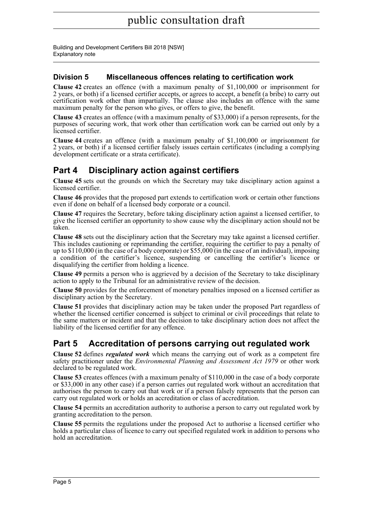### **Division 5 Miscellaneous offences relating to certification work**

**Clause 42** creates an offence (with a maximum penalty of \$1,100,000 or imprisonment for 2 years, or both) if a licensed certifier accepts, or agrees to accept, a benefit (a bribe) to carry out certification work other than impartially. The clause also includes an offence with the same maximum penalty for the person who gives, or offers to give, the benefit.

**Clause 43** creates an offence (with a maximum penalty of \$33,000) if a person represents, for the purposes of securing work, that work other than certification work can be carried out only by a licensed certifier.

**Clause 44** creates an offence (with a maximum penalty of \$1,100,000 or imprisonment for 2 years, or both) if a licensed certifier falsely issues certain certificates (including a complying development certificate or a strata certificate).

## **Part 4 Disciplinary action against certifiers**

**Clause 45** sets out the grounds on which the Secretary may take disciplinary action against a licensed certifier.

**Clause 46** provides that the proposed part extends to certification work or certain other functions even if done on behalf of a licensed body corporate or a council.

**Clause 47** requires the Secretary, before taking disciplinary action against a licensed certifier, to give the licensed certifier an opportunity to show cause why the disciplinary action should not be taken.

**Clause 48** sets out the disciplinary action that the Secretary may take against a licensed certifier. This includes cautioning or reprimanding the certifier, requiring the certifier to pay a penalty of up to \$110,000 (in the case of a body corporate) or  $$55,000$  (in the case of an individual), imposing a condition of the certifier's licence, suspending or cancelling the certifier's licence or disqualifying the certifier from holding a licence.

**Clause 49** permits a person who is aggrieved by a decision of the Secretary to take disciplinary action to apply to the Tribunal for an administrative review of the decision.

**Clause 50** provides for the enforcement of monetary penalties imposed on a licensed certifier as disciplinary action by the Secretary.

**Clause 51** provides that disciplinary action may be taken under the proposed Part regardless of whether the licensed certifier concerned is subject to criminal or civil proceedings that relate to the same matters or incident and that the decision to take disciplinary action does not affect the liability of the licensed certifier for any offence.

## **Part 5 Accreditation of persons carrying out regulated work**

**Clause 52** defines *regulated work* which means the carrying out of work as a competent fire safety practitioner under the *Environmental Planning and Assessment Act 1979* or other work declared to be regulated work.

**Clause 53** creates offences (with a maximum penalty of \$110,000 in the case of a body corporate or \$33,000 in any other case) if a person carries out regulated work without an accreditation that authorises the person to carry out that work or if a person falsely represents that the person can carry out regulated work or holds an accreditation or class of accreditation.

**Clause 54** permits an accreditation authority to authorise a person to carry out regulated work by granting accreditation to the person.

**Clause 55** permits the regulations under the proposed Act to authorise a licensed certifier who holds a particular class of licence to carry out specified regulated work in addition to persons who hold an accreditation.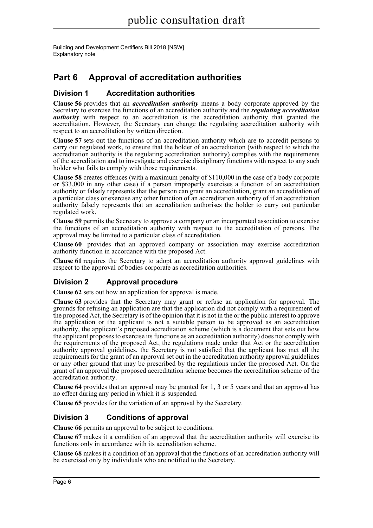## **Part 6 Approval of accreditation authorities**

### **Division 1 Accreditation authorities**

**Clause 56** provides that an *accreditation authority* means a body corporate approved by the Secretary to exercise the functions of an accreditation authority and the *regulating accreditation authority* with respect to an accreditation is the accreditation authority that granted the accreditation. However, the Secretary can change the regulating accreditation authority with respect to an accreditation by written direction.

**Clause 57** sets out the functions of an accreditation authority which are to accredit persons to carry out regulated work, to ensure that the holder of an accreditation (with respect to which the accreditation authority is the regulating accreditation authority) complies with the requirements of the accreditation and to investigate and exercise disciplinary functions with respect to any such holder who fails to comply with those requirements.

**Clause 58** creates offences (with a maximum penalty of \$110,000 in the case of a body corporate or \$33,000 in any other case) if a person improperly exercises a function of an accreditation authority or falsely represents that the person can grant an accreditation, grant an accreditation of a particular class or exercise any other function of an accreditation authority of if an accreditation authority falsely represents that an accreditation authorises the holder to carry out particular regulated work.

**Clause 59** permits the Secretary to approve a company or an incorporated association to exercise the functions of an accreditation authority with respect to the accreditation of persons. The approval may be limited to a particular class of accreditation.

**Clause 60** provides that an approved company or association may exercise accreditation authority function in accordance with the proposed Act.

**Clause 61** requires the Secretary to adopt an accreditation authority approval guidelines with respect to the approval of bodies corporate as accreditation authorities.

### **Division 2 Approval procedure**

**Clause 62** sets out how an application for approval is made.

**Clause 63** provides that the Secretary may grant or refuse an application for approval. The grounds for refusing an application are that the application did not comply with a requirement of the proposed Act, the Secretary is of the opinion that it is not in the or the public interest to approve the application or the applicant is not a suitable person to be approved as an accreditation authority, the applicant's proposed accreditation scheme (which is a document that sets out how the applicant proposes to exercise its functions as an accreditation authority) does not comply with the requirements of the proposed Act, the regulations made under that Act or the accreditation authority approval guidelines, the Secretary is not satisfied that the applicant has met all the requirements for the grant of an approval set out in the accreditation authority approval guidelines or any other ground that may be prescribed by the regulations under the proposed Act. On the grant of an approval the proposed accreditation scheme becomes the accreditation scheme of the accreditation authority.

**Clause 64** provides that an approval may be granted for 1, 3 or 5 years and that an approval has no effect during any period in which it is suspended.

**Clause 65** provides for the variation of an approval by the Secretary.

### **Division 3 Conditions of approval**

**Clause 66** permits an approval to be subject to conditions.

**Clause 67** makes it a condition of an approval that the accreditation authority will exercise its functions only in accordance with its accreditation scheme.

**Clause 68** makes it a condition of an approval that the functions of an accreditation authority will be exercised only by individuals who are notified to the Secretary.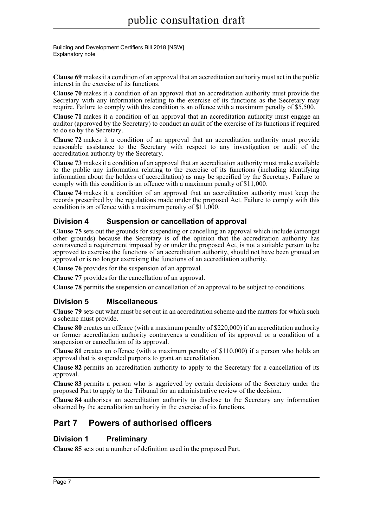Building and Development Certifiers Bill 2018 [NSW] Explanatory note

**Clause 69** makes it a condition of an approval that an accreditation authority must act in the public interest in the exercise of its functions.

**Clause 70** makes it a condition of an approval that an accreditation authority must provide the Secretary with any information relating to the exercise of its functions as the Secretary may require. Failure to comply with this condition is an offence with a maximum penalty of \$5,500.

**Clause 71** makes it a condition of an approval that an accreditation authority must engage an auditor (approved by the Secretary) to conduct an audit of the exercise of its functions if required to do so by the Secretary.

**Clause 72** makes it a condition of an approval that an accreditation authority must provide reasonable assistance to the Secretary with respect to any investigation or audit of the accreditation authority by the Secretary.

**Clause 73** makes it a condition of an approval that an accreditation authority must make available to the public any information relating to the exercise of its functions (including identifying information about the holders of accreditation) as may be specified by the Secretary. Failure to comply with this condition is an offence with a maximum penalty of \$11,000.

**Clause 74** makes it a condition of an approval that an accreditation authority must keep the records prescribed by the regulations made under the proposed Act. Failure to comply with this condition is an offence with a maximum penalty of \$11,000.

### **Division 4 Suspension or cancellation of approval**

**Clause 75** sets out the grounds for suspending or cancelling an approval which include (amongst other grounds) because the Secretary is of the opinion that the accreditation authority has contravened a requirement imposed by or under the proposed Act, is not a suitable person to be approved to exercise the functions of an accreditation authority, should not have been granted an approval or is no longer exercising the functions of an accreditation authority.

**Clause 76** provides for the suspension of an approval.

**Clause 77** provides for the cancellation of an approval.

**Clause 78** permits the suspension or cancellation of an approval to be subject to conditions.

### **Division 5 Miscellaneous**

**Clause 79** sets out what must be set out in an accreditation scheme and the matters for which such a scheme must provide.

**Clause 80** creates an offence (with a maximum penalty of \$220,000) if an accreditation authority or former accreditation authority contravenes a condition of its approval or a condition of a suspension or cancellation of its approval.

**Clause 81** creates an offence (with a maximum penalty of \$110,000) if a person who holds an approval that is suspended purports to grant an accreditation.

**Clause 82** permits an accreditation authority to apply to the Secretary for a cancellation of its approval.

**Clause 83** permits a person who is aggrieved by certain decisions of the Secretary under the proposed Part to apply to the Tribunal for an administrative review of the decision.

**Clause 84** authorises an accreditation authority to disclose to the Secretary any information obtained by the accreditation authority in the exercise of its functions.

## **Part 7 Powers of authorised officers**

### **Division 1 Preliminary**

**Clause 85** sets out a number of definition used in the proposed Part.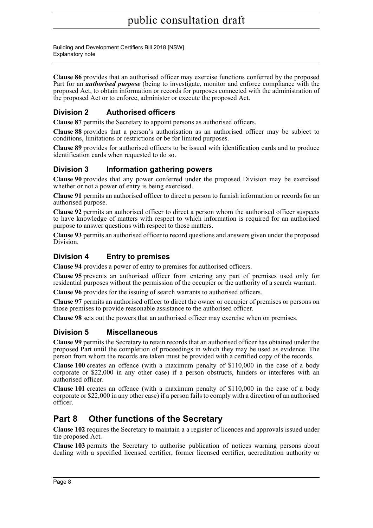Building and Development Certifiers Bill 2018 [NSW] Explanatory note

**Clause 86** provides that an authorised officer may exercise functions conferred by the proposed Part for an *authorised purpose* (being to investigate, monitor and enforce compliance with the proposed Act, to obtain information or records for purposes connected with the administration of the proposed Act or to enforce, administer or execute the proposed Act.

### **Division 2 Authorised officers**

**Clause 87** permits the Secretary to appoint persons as authorised officers.

**Clause 88** provides that a person's authorisation as an authorised officer may be subject to conditions, limitations or restrictions or be for limited purposes.

**Clause 89** provides for authorised officers to be issued with identification cards and to produce identification cards when requested to do so.

### **Division 3 Information gathering powers**

**Clause 90** provides that any power conferred under the proposed Division may be exercised whether or not a power of entry is being exercised.

**Clause 91** permits an authorised officer to direct a person to furnish information or records for an authorised purpose.

**Clause 92** permits an authorised officer to direct a person whom the authorised officer suspects to have knowledge of matters with respect to which information is required for an authorised purpose to answer questions with respect to those matters.

**Clause 93** permits an authorised officer to record questions and answers given under the proposed Division.

### **Division 4 Entry to premises**

**Clause 94** provides a power of entry to premises for authorised officers.

**Clause 95** prevents an authorised officer from entering any part of premises used only for residential purposes without the permission of the occupier or the authority of a search warrant.

**Clause 96** provides for the issuing of search warrants to authorised officers.

**Clause 97** permits an authorised officer to direct the owner or occupier of premises or persons on those premises to provide reasonable assistance to the authorised officer.

**Clause 98** sets out the powers that an authorised officer may exercise when on premises.

### **Division 5 Miscellaneous**

**Clause 99** permits the Secretary to retain records that an authorised officer has obtained under the proposed Part until the completion of proceedings in which they may be used as evidence. The person from whom the records are taken must be provided with a certified copy of the records.

**Clause 100** creates an offence (with a maximum penalty of \$110,000 in the case of a body corporate or \$22,000 in any other case) if a person obstructs, hinders or interferes with an authorised officer.

**Clause 101** creates an offence (with a maximum penalty of \$110,000 in the case of a body corporate or \$22,000 in any other case) if a person fails to comply with a direction of an authorised officer.

## **Part 8 Other functions of the Secretary**

**Clause 102** requires the Secretary to maintain a a register of licences and approvals issued under the proposed Act.

**Clause 103** permits the Secretary to authorise publication of notices warning persons about dealing with a specified licensed certifier, former licensed certifier, accreditation authority or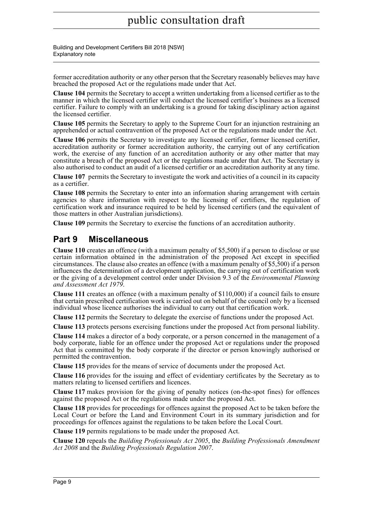Building and Development Certifiers Bill 2018 [NSW] Explanatory note

former accreditation authority or any other person that the Secretary reasonably believes may have breached the proposed Act or the regulations made under that Act.

**Clause 104** permits the Secretary to accept a written undertaking from a licensed certifier as to the manner in which the licensed certifier will conduct the licensed certifier's business as a licensed certifier. Failure to comply with an undertaking is a ground for taking disciplinary action against the licensed certifier.

**Clause 105** permits the Secretary to apply to the Supreme Court for an injunction restraining an apprehended or actual contravention of the proposed Act or the regulations made under the Act.

**Clause 106** permits the Secretary to investigate any licensed certifier, former licensed certifier, accreditation authority or former accreditation authority, the carrying out of any certification work, the exercise of any function of an accreditation authority or any other matter that may constitute a breach of the proposed Act or the regulations made under that Act. The Secretary is also authorised to conduct an audit of a licensed certifier or an accreditation authority at any time.

**Clause 107** permits the Secretary to investigate the work and activities of a council in its capacity as a certifier.

**Clause 108** permits the Secretary to enter into an information sharing arrangement with certain agencies to share information with respect to the licensing of certifiers, the regulation of certification work and insurance required to be held by licensed certifiers (and the equivalent of those matters in other Australian jurisdictions).

**Clause 109** permits the Secretary to exercise the functions of an accreditation authority.

## **Part 9 Miscellaneous**

**Clause 110** creates an offence (with a maximum penalty of \$5,500) if a person to disclose or use certain information obtained in the administration of the proposed Act except in specified circumstances. The clause also creates an offence (with a maximum penalty of \$5,500) if a person influences the determination of a development application, the carrying out of certification work or the giving of a development control order under Division 9.3 of the *Environmental Planning and Assessment Act 1979*.

**Clause 111** creates an offence (with a maximum penalty of \$110,000) if a council fails to ensure that certain prescribed certification work is carried out on behalf of the council only by a licensed individual whose licence authorises the individual to carry out that certification work.

**Clause 112** permits the Secretary to delegate the exercise of functions under the proposed Act.

**Clause 113** protects persons exercising functions under the proposed Act from personal liability.

**Clause 114** makes a director of a body corporate, or a person concerned in the management of a body corporate, liable for an offence under the proposed Act or regulations under the proposed Act that is committed by the body corporate if the director or person knowingly authorised or permitted the contravention.

**Clause 115** provides for the means of service of documents under the proposed Act.

**Clause 116** provides for the issuing and effect of evidentiary certificates by the Secretary as to matters relating to licensed certifiers and licences.

**Clause 117** makes provision for the giving of penalty notices (on-the-spot fines) for offences against the proposed Act or the regulations made under the proposed Act.

**Clause 118** provides for proceedings for offences against the proposed Act to be taken before the Local Court or before the Land and Environment Court in its summary jurisdiction and for proceedings for offences against the regulations to be taken before the Local Court.

**Clause 119** permits regulations to be made under the proposed Act.

**Clause 120** repeals the *Building Professionals Act 2005*, the *Building Professionals Amendment Act 2008* and the *Building Professionals Regulation 2007*.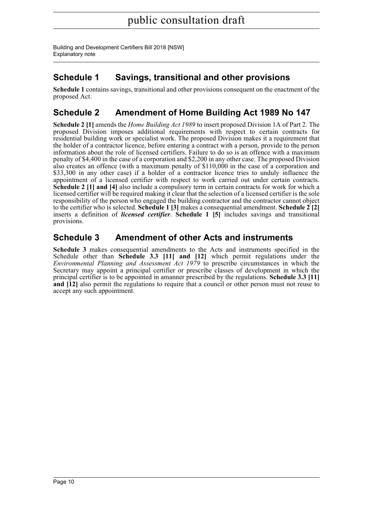## **Schedule 1 Savings, transitional and other provisions**

**Schedule 1** contains savings, transitional and other provisions consequent on the enactment of the proposed Act.

## **Schedule 2 Amendment of Home Building Act 1989 No 147**

**Schedule 2 [1]** amends the *Home Building Act 1989* to insert proposed Division 1A of Part 2. The proposed Division imposes additional requirements with respect to certain contracts for residential building work or specialist work. The proposed Division makes it a requirement that the holder of a contractor licence, before entering a contract with a person, provide to the person information about the role of licensed certifiers. Failure to do so is an offence with a maximum penalty of \$4,400 in the case of a corporation and \$2,200 in any other case. The proposed Division also creates an offence (with a maximum penalty of \$110,000 in the case of a corporation and \$33,300 in any other case) if a holder of a contractor licence tries to unduly influence the appointment of a licensed certifier with respect to work carried out under certain contracts. **Schedule 2 [1] and [4]** also include a compulsory term in certain contracts for work for which a licensed certifier will be required making it clear that the selection of a licensed certifier is the sole responsibility of the person who engaged the building contractor and the contractor cannot object to the certifier who is selected. **Schedule 1 [3]** makes a consequential amendment. **Schedule 2 [2]** inserts a definition of *licensed certifier*. **Schedule 1 [5]** includes savings and transitional provisions.

### **Schedule 3 Amendment of other Acts and instruments**

**Schedule 3** makes consequential amendments to the Acts and instruments specified in the Schedule other than **Schedule 3.3 [11] and [12]** which permit regulations under the *Environmental Planning and Assessment Act 1979* to prescribe circumstances in which the Secretary may appoint a principal certifier or prescribe classes of development in which the principal certifier is to be appointed in amanner prescribed by the regulations. **Schedule 3.3 [11] and [12]** also permit the regulations to require that a council or other person must not reuse to accept any such appointment.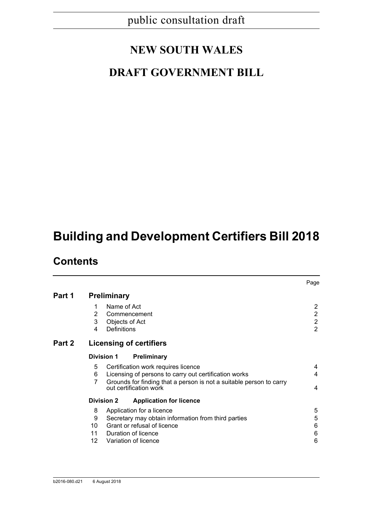# **NEW SOUTH WALES**

## **DRAFT GOVERNMENT BILL**

# **Building and Development Certifiers Bill 2018**

## **Contents**

|        |                    |             |                                                                                               | Page           |
|--------|--------------------|-------------|-----------------------------------------------------------------------------------------------|----------------|
| Part 1 | <b>Preliminary</b> |             |                                                                                               |                |
|        | 1                  | Name of Act |                                                                                               | $\overline{2}$ |
|        | 2                  |             | Commencement                                                                                  | $\overline{c}$ |
|        | 3                  |             | Objects of Act                                                                                | $\overline{2}$ |
|        | 4                  | Definitions |                                                                                               | $\overline{2}$ |
| Part 2 |                    |             | <b>Licensing of certifiers</b>                                                                |                |
|        | <b>Division 1</b>  |             | <b>Preliminary</b>                                                                            |                |
|        | 5                  |             | Certification work requires licence                                                           | 4              |
|        | 6                  |             | Licensing of persons to carry out certification works                                         | 4              |
|        | 7                  |             | Grounds for finding that a person is not a suitable person to carry<br>out certification work | 4              |
|        | <b>Division 2</b>  |             | <b>Application for licence</b>                                                                |                |
|        | 8                  |             | Application for a licence                                                                     | 5              |
|        | 9                  |             | Secretary may obtain information from third parties                                           | 5              |
|        | 10                 |             | Grant or refusal of licence                                                                   | 6              |
|        |                    |             | 11 Duration of licence                                                                        | 6              |
|        | 12 <sup>2</sup>    |             | Variation of licence                                                                          | 6              |
|        |                    |             |                                                                                               |                |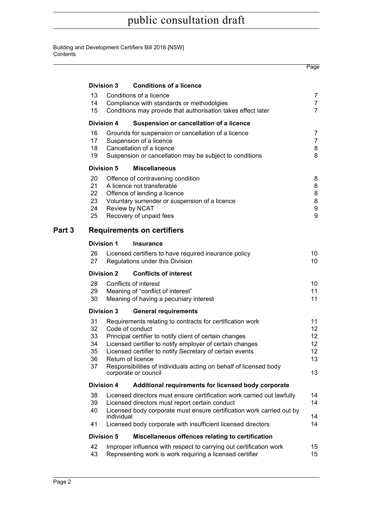|        |                   |            |                                                                                           | Page                  |
|--------|-------------------|------------|-------------------------------------------------------------------------------------------|-----------------------|
|        | <b>Division 3</b> |            | <b>Conditions of a licence</b>                                                            |                       |
|        | 13                |            | Conditions of a licence                                                                   | $\overline{7}$        |
|        | 14                |            | Compliance with standards or methodolgies                                                 | $\overline{7}$        |
|        | 15                |            | Conditions may provide that authorisation takes effect later                              | 7                     |
|        | <b>Division 4</b> |            | Suspension or cancellation of a licence                                                   |                       |
|        | 16                |            | Grounds for suspension or cancellation of a licence                                       | 7                     |
|        | 17                |            | Suspension of a licence                                                                   | $\overline{7}$        |
|        | 18                |            | Cancellation of a licence                                                                 | 8                     |
|        | 19                |            | Suspension or cancellation may be subject to conditions                                   | 8                     |
|        | <b>Division 5</b> |            | <b>Miscellaneous</b>                                                                      |                       |
|        | 20                |            | Offence of contravening condition                                                         | 8                     |
|        | 21                |            | A licence not transferable                                                                | 8                     |
|        | 22                |            | Offence of lending a licence                                                              | 8                     |
|        | 23                |            | Voluntary surrender or suspension of a licence                                            | 8                     |
|        | 24                |            | Review by NCAT                                                                            | 9                     |
|        | 25                |            | Recovery of unpaid fees                                                                   | 9                     |
| Part 3 |                   |            | <b>Requirements on certifiers</b>                                                         |                       |
|        | <b>Division 1</b> |            | <b>Insurance</b>                                                                          |                       |
|        | 26<br>27          |            | Licensed certifiers to have required insurance policy<br>Regulations under this Division  | 10<br>10 <sup>°</sup> |
|        | <b>Division 2</b> |            | <b>Conflicts of interest</b>                                                              |                       |
|        | 28                |            | Conflicts of interest                                                                     | 10                    |
|        | 29                |            | Meaning of "conflict of interest"                                                         | 11                    |
|        | 30                |            | Meaning of having a pecuniary interest                                                    | 11                    |
|        | <b>Division 3</b> |            | <b>General requirements</b>                                                               |                       |
|        | 31                |            | Requirements relating to contracts for certification work                                 | 11                    |
|        | 32                |            | Code of conduct                                                                           | 12                    |
|        | 33                |            | Principal certifier to notify client of certain changes                                   | 12                    |
|        | 34                |            | Licensed certifier to notify employer of certain changes                                  | $12 \overline{ }$     |
|        | 35                |            | Licensed certifier to notify Secretary of certain events                                  | 12                    |
|        | 36<br>37          |            | Return of licence                                                                         | 13                    |
|        |                   |            | Responsibilities of individuals acting on behalf of licensed body<br>corporate or council | 13                    |
|        | <b>Division 4</b> |            | Additional requirements for licensed body corporate                                       |                       |
|        | 38                |            | Licensed directors must ensure certification work carried out lawfully                    | 14                    |
|        | 39                |            | Licensed directors must report certain conduct                                            | 14                    |
|        | 40                |            | Licensed body corporate must ensure certification work carried out by                     |                       |
|        |                   | individual |                                                                                           | 14                    |
|        | 41                |            | Licensed body corporate with insufficient licensed directors                              | 14                    |
|        | <b>Division 5</b> |            | Miscellaneous offences relating to certification                                          |                       |
|        | 42                |            | Improper influence with respect to carrying out certification work                        | 15                    |
|        | 43                |            | Representing work is work requiring a licensed certifier                                  | 15                    |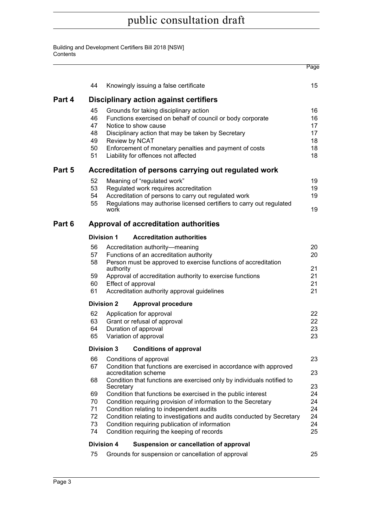|        |                                                        |                                                                                                                                                                                  |                                                                                                                                                                                                                                                                                                       | Page                                   |  |  |
|--------|--------------------------------------------------------|----------------------------------------------------------------------------------------------------------------------------------------------------------------------------------|-------------------------------------------------------------------------------------------------------------------------------------------------------------------------------------------------------------------------------------------------------------------------------------------------------|----------------------------------------|--|--|
|        | 44                                                     |                                                                                                                                                                                  | Knowingly issuing a false certificate                                                                                                                                                                                                                                                                 | 15                                     |  |  |
| Part 4 |                                                        |                                                                                                                                                                                  | <b>Disciplinary action against certifiers</b>                                                                                                                                                                                                                                                         |                                        |  |  |
|        | 45<br>46<br>47<br>48<br>49<br>50<br>51                 |                                                                                                                                                                                  | Grounds for taking disciplinary action<br>Functions exercised on behalf of council or body corporate<br>Notice to show cause<br>Disciplinary action that may be taken by Secretary<br>Review by NCAT<br>Enforcement of monetary penalties and payment of costs<br>Liability for offences not affected | 16<br>16<br>17<br>17<br>18<br>18<br>18 |  |  |
| Part 5 |                                                        |                                                                                                                                                                                  | Accreditation of persons carrying out regulated work                                                                                                                                                                                                                                                  |                                        |  |  |
|        | 52<br>53<br>54<br>55                                   | work                                                                                                                                                                             | Meaning of "regulated work"<br>Regulated work requires accreditation<br>Accreditation of persons to carry out regulated work<br>Regulations may authorise licensed certifiers to carry out regulated                                                                                                  | 19<br>19<br>19<br>19                   |  |  |
| Part 6 |                                                        |                                                                                                                                                                                  | Approval of accreditation authorities                                                                                                                                                                                                                                                                 |                                        |  |  |
|        |                                                        | <b>Division 1</b>                                                                                                                                                                | <b>Accreditation authorities</b>                                                                                                                                                                                                                                                                      |                                        |  |  |
|        | 56<br>57<br>58                                         |                                                                                                                                                                                  | Accreditation authority-meaning<br>Functions of an accreditation authority<br>Person must be approved to exercise functions of accreditation                                                                                                                                                          | 20<br>20                               |  |  |
|        | 59<br>60                                               | authority                                                                                                                                                                        | Approval of accreditation authority to exercise functions<br>Effect of approval                                                                                                                                                                                                                       | 21<br>21<br>21                         |  |  |
|        | 61                                                     | Accreditation authority approval guidelines                                                                                                                                      |                                                                                                                                                                                                                                                                                                       |                                        |  |  |
|        |                                                        | <b>Division 2</b>                                                                                                                                                                | <b>Approval procedure</b>                                                                                                                                                                                                                                                                             |                                        |  |  |
|        | 62<br>63<br>64<br>65                                   |                                                                                                                                                                                  | Application for approval<br>Grant or refusal of approval<br>Duration of approval<br>Variation of approval                                                                                                                                                                                             | 22<br>22<br>23<br>23                   |  |  |
|        |                                                        | <b>Division 3</b>                                                                                                                                                                | <b>Conditions of approval</b>                                                                                                                                                                                                                                                                         |                                        |  |  |
|        | 66<br>67                                               |                                                                                                                                                                                  | Conditions of approval<br>Condition that functions are exercised in accordance with approved<br>accreditation scheme                                                                                                                                                                                  | 23<br>23                               |  |  |
|        | 68                                                     | Secretary                                                                                                                                                                        | Condition that functions are exercised only by individuals notified to                                                                                                                                                                                                                                | 23                                     |  |  |
|        | 69<br>70<br>71                                         |                                                                                                                                                                                  | Condition that functions be exercised in the public interest<br>Condition requiring provision of information to the Secretary                                                                                                                                                                         | 24<br>24<br>24                         |  |  |
|        | 72<br>73                                               | Condition relating to independent audits<br>Condition relating to investigations and audits conducted by Secretary<br>24<br>Condition requiring publication of information<br>24 |                                                                                                                                                                                                                                                                                                       |                                        |  |  |
|        | Condition requiring the keeping of records<br>74<br>25 |                                                                                                                                                                                  |                                                                                                                                                                                                                                                                                                       |                                        |  |  |
|        |                                                        | <b>Division 4</b>                                                                                                                                                                | Suspension or cancellation of approval                                                                                                                                                                                                                                                                |                                        |  |  |
|        | 75                                                     |                                                                                                                                                                                  | Grounds for suspension or cancellation of approval                                                                                                                                                                                                                                                    | 25                                     |  |  |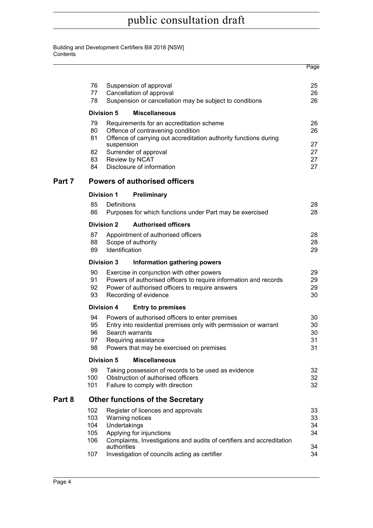|        |                            |                   |                                                                                                                                                                                                           | Page                       |
|--------|----------------------------|-------------------|-----------------------------------------------------------------------------------------------------------------------------------------------------------------------------------------------------------|----------------------------|
|        | 76<br>77<br>78             |                   | Suspension of approval<br>Cancellation of approval<br>Suspension or cancellation may be subject to conditions                                                                                             | 25<br>26<br>26             |
|        |                            | <b>Division 5</b> | <b>Miscellaneous</b>                                                                                                                                                                                      |                            |
|        | 79<br>80<br>81             |                   | Requirements for an accreditation scheme<br>Offence of contravening condition<br>Offence of carrying out accreditation authority functions during                                                         | 26<br>26                   |
|        | 82<br>83<br>84             | suspension        | Surrender of approval<br>Review by NCAT<br>Disclosure of information                                                                                                                                      | 27<br>27<br>27<br>27       |
| Part 7 |                            |                   | <b>Powers of authorised officers</b>                                                                                                                                                                      |                            |
|        |                            | <b>Division 1</b> | Preliminary                                                                                                                                                                                               |                            |
|        | 85<br>86                   | Definitions       | Purposes for which functions under Part may be exercised                                                                                                                                                  | 28<br>28                   |
|        |                            | <b>Division 2</b> | <b>Authorised officers</b>                                                                                                                                                                                |                            |
|        | 87<br>88<br>89             | Identification    | Appointment of authorised officers<br>Scope of authority                                                                                                                                                  | 28<br>28<br>29             |
|        |                            | <b>Division 3</b> | Information gathering powers                                                                                                                                                                              |                            |
|        | 90<br>91<br>92<br>93       |                   | Exercise in conjunction with other powers<br>Powers of authorised officers to require information and records<br>Power of authorised officers to require answers<br>Recording of evidence                 | 29<br>29<br>29<br>30       |
|        |                            | <b>Division 4</b> | <b>Entry to premises</b>                                                                                                                                                                                  |                            |
|        | 94<br>95<br>96<br>97<br>98 |                   | Powers of authorised officers to enter premises<br>Entry into residential premises only with permission or warrant<br>Search warrants<br>Requiring assistance<br>Powers that may be exercised on premises | 30<br>30<br>30<br>31<br>31 |
|        |                            | <b>Division 5</b> | <b>Miscellaneous</b>                                                                                                                                                                                      |                            |
|        | 99<br>100<br>101           |                   | Taking possession of records to be used as evidence<br>Obstruction of authorised officers<br>Failure to comply with direction                                                                             | 32<br>32<br>32             |
| Part 8 |                            |                   | <b>Other functions of the Secretary</b>                                                                                                                                                                   |                            |
|        | 102<br>103<br>104<br>105   | Undertakings      | Register of licences and approvals<br><b>Warning notices</b><br>Applying for injunctions                                                                                                                  | 33<br>33<br>34<br>34       |
|        | 106<br>107                 | authorities       | Complaints, Investigations and audits of certifiers and accreditation<br>Investigation of councils acting as certifier                                                                                    | 34<br>34                   |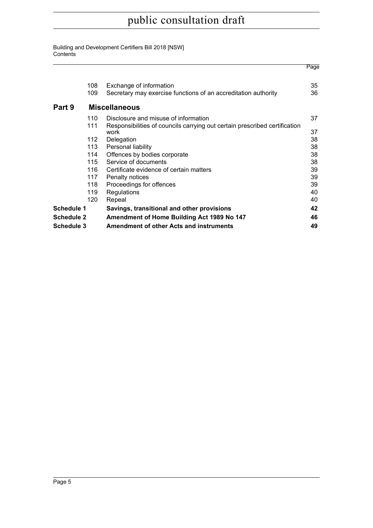|                   |     |                                                                            | Page |
|-------------------|-----|----------------------------------------------------------------------------|------|
|                   | 108 | Exchange of information                                                    | 35   |
|                   | 109 | Secretary may exercise functions of an accreditation authority             | 36   |
| Part 9            |     | <b>Miscellaneous</b>                                                       |      |
|                   | 110 | Disclosure and misuse of information                                       | 37   |
|                   | 111 | Responsibilities of councils carrying out certain prescribed certification |      |
|                   |     | work                                                                       | 37   |
|                   | 112 | Delegation                                                                 | 38   |
|                   | 113 | Personal liability                                                         | 38   |
|                   | 114 | Offences by bodies corporate                                               | 38   |
|                   | 115 | Service of documents                                                       | 38   |
|                   | 116 | Certificate evidence of certain matters                                    | 39   |
|                   | 117 | Penalty notices                                                            | 39   |
|                   | 118 | Proceedings for offences                                                   | 39   |
|                   | 119 | Regulations                                                                | 40   |
|                   | 120 | Repeal                                                                     | 40   |
| <b>Schedule 1</b> |     | Savings, transitional and other provisions                                 | 42   |
| Schedule 2        |     | Amendment of Home Building Act 1989 No 147                                 | 46   |
| Schedule 3        |     | <b>Amendment of other Acts and instruments</b>                             | 49   |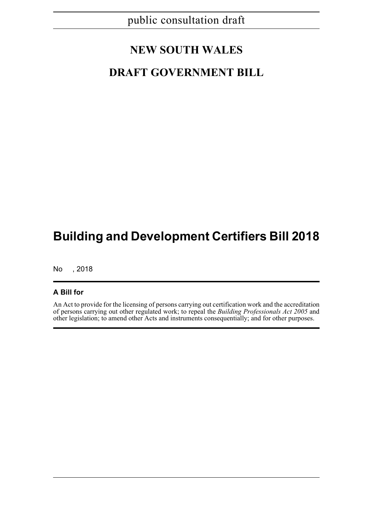## **NEW SOUTH WALES**

## **DRAFT GOVERNMENT BILL**

# **Building and Development Certifiers Bill 2018**

No , 2018

### **A Bill for**

An Act to provide for the licensing of persons carrying out certification work and the accreditation of persons carrying out other regulated work; to repeal the *Building Professionals Act 2005* and other legislation; to amend other Acts and instruments consequentially; and for other purposes.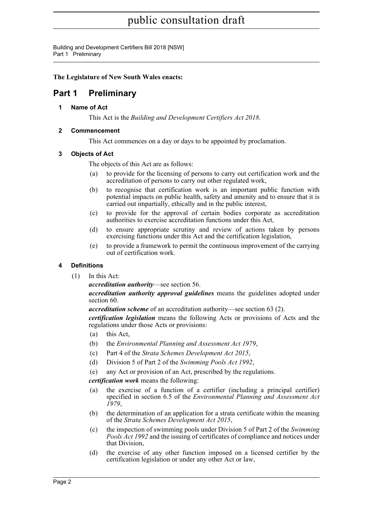Building and Development Certifiers Bill 2018 [NSW] Part 1 Preliminary

**The Legislature of New South Wales enacts:**

## <span id="page-16-1"></span><span id="page-16-0"></span>**Part 1 Preliminary**

**1 Name of Act**

This Act is the *Building and Development Certifiers Act 2018*.

### <span id="page-16-2"></span>**2 Commencement**

This Act commences on a day or days to be appointed by proclamation.

### <span id="page-16-3"></span>**3 Objects of Act**

The objects of this Act are as follows:

- (a) to provide for the licensing of persons to carry out certification work and the accreditation of persons to carry out other regulated work,
- (b) to recognise that certification work is an important public function with potential impacts on public health, safety and amenity and to ensure that it is carried out impartially, ethically and in the public interest,
- (c) to provide for the approval of certain bodies corporate as accreditation authorities to exercise accreditation functions under this Act,
- (d) to ensure appropriate scrutiny and review of actions taken by persons exercising functions under this Act and the certification legislation,
- (e) to provide a framework to permit the continuous improvement of the carrying out of certification work.

### <span id="page-16-4"></span>**4 Definitions**

(1) In this Act:

*accreditation authority*—see section 56.

*accreditation authority approval guidelines* means the guidelines adopted under section 60.

*accreditation scheme* of an accreditation authority—see section 63 (2).

*certification legislation* means the following Acts or provisions of Acts and the regulations under those Acts or provisions:

- (a) this Act,
- (b) the *Environmental Planning and Assessment Act 1979*,
- (c) Part 4 of the *Strata Schemes Development Act 2015*,
- (d) Division 5 of Part 2 of the *Swimming Pools Act 1992*,
- (e) any Act or provision of an Act, prescribed by the regulations.

*certification work* means the following:

- (a) the exercise of a function of a certifier (including a principal certifier) specified in section 6.5 of the *Environmental Planning and Assessment Act 1979*,
- (b) the determination of an application for a strata certificate within the meaning of the *Strata Schemes Development Act 2015*,
- (c) the inspection of swimming pools under Division 5 of Part 2 of the *Swimming Pools Act 1992* and the issuing of certificates of compliance and notices under that Division,
- (d) the exercise of any other function imposed on a licensed certifier by the certification legislation or under any other Act or law,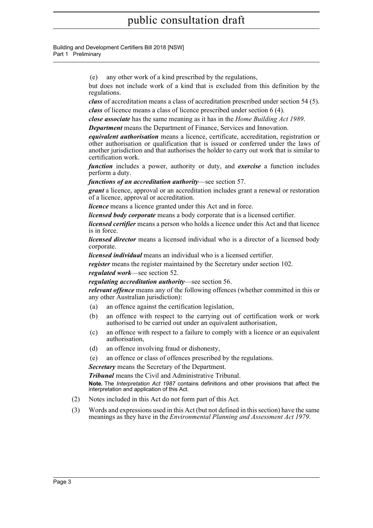Building and Development Certifiers Bill 2018 [NSW] Part 1 Preliminary

(e) any other work of a kind prescribed by the regulations,

but does not include work of a kind that is excluded from this definition by the regulations.

*class* of accreditation means a class of accreditation prescribed under section 54 (5). *class* of licence means a class of licence prescribed under section 6 (4).

*close associate* has the same meaning as it has in the *Home Building Act 1989*.

*Department* means the Department of Finance, Services and Innovation.

*equivalent authorisation* means a licence, certificate, accreditation, registration or other authorisation or qualification that is issued or conferred under the laws of another jurisdiction and that authorises the holder to carry out work that is similar to certification work.

*function* includes a power, authority or duty, and *exercise* a function includes perform a duty.

*functions of an accreditation authority*—see section 57.

*grant* a licence, approval or an accreditation includes grant a renewal or restoration of a licence, approval or accreditation.

*licence* means a licence granted under this Act and in force.

*licensed body corporate* means a body corporate that is a licensed certifier.

*licensed certifier* means a person who holds a licence under this Act and that licence is in force.

*licensed director* means a licensed individual who is a director of a licensed body corporate.

*licensed individual* means an individual who is a licensed certifier.

*register* means the register maintained by the Secretary under section 102.

*regulated work*—see section 52.

*regulating accreditation authority*—see section 56.

*relevant offence* means any of the following offences (whether committed in this or any other Australian jurisdiction):

- (a) an offence against the certification legislation,
- (b) an offence with respect to the carrying out of certification work or work authorised to be carried out under an equivalent authorisation,
- (c) an offence with respect to a failure to comply with a licence or an equivalent authorisation,
- (d) an offence involving fraud or dishonesty,
- (e) an offence or class of offences prescribed by the regulations.

*Secretary* means the Secretary of the Department.

*Tribunal* means the Civil and Administrative Tribunal.

**Note.** The *Interpretation Act 1987* contains definitions and other provisions that affect the interpretation and application of this Act.

- (2) Notes included in this Act do not form part of this Act.
- (3) Words and expressions used in this Act (but not defined in this section) have the same meanings as they have in the *Environmental Planning and Assessment Act 1979*.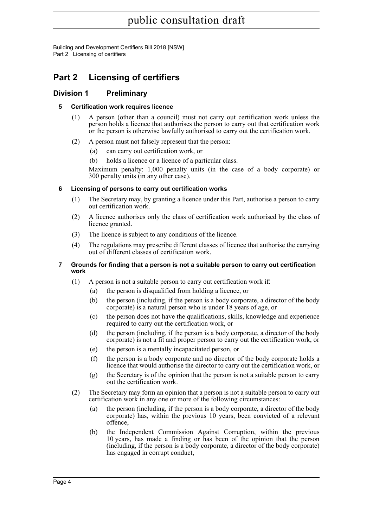Building and Development Certifiers Bill 2018 [NSW] Part 2 Licensing of certifiers

## <span id="page-18-0"></span>**Part 2 Licensing of certifiers**

### <span id="page-18-2"></span><span id="page-18-1"></span>**Division 1 Preliminary**

### **5 Certification work requires licence**

- (1) A person (other than a council) must not carry out certification work unless the person holds a licence that authorises the person to carry out that certification work or the person is otherwise lawfully authorised to carry out the certification work.
- (2) A person must not falsely represent that the person:
	- (a) can carry out certification work, or
	- (b) holds a licence or a licence of a particular class.

Maximum penalty: 1,000 penalty units (in the case of a body corporate) or 300 penalty units (in any other case).

### <span id="page-18-3"></span>**6 Licensing of persons to carry out certification works**

- (1) The Secretary may, by granting a licence under this Part, authorise a person to carry out certification work.
- (2) A licence authorises only the class of certification work authorised by the class of licence granted.
- (3) The licence is subject to any conditions of the licence.
- (4) The regulations may prescribe different classes of licence that authorise the carrying out of different classes of certification work.

### <span id="page-18-4"></span>**7 Grounds for finding that a person is not a suitable person to carry out certification work**

- (1) A person is not a suitable person to carry out certification work if:
	- (a) the person is disqualified from holding a licence, or
	- (b) the person (including, if the person is a body corporate, a director of the body corporate) is a natural person who is under 18 years of age, or
	- (c) the person does not have the qualifications, skills, knowledge and experience required to carry out the certification work, or
	- (d) the person (including, if the person is a body corporate, a director of the body corporate) is not a fit and proper person to carry out the certification work, or
	- (e) the person is a mentally incapacitated person, or
	- (f) the person is a body corporate and no director of the body corporate holds a licence that would authorise the director to carry out the certification work, or
	- (g) the Secretary is of the opinion that the person is not a suitable person to carry out the certification work.
- (2) The Secretary may form an opinion that a person is not a suitable person to carry out certification work in any one or more of the following circumstances:
	- (a) the person (including, if the person is a body corporate, a director of the body corporate) has, within the previous 10 years, been convicted of a relevant offence,
	- (b) the Independent Commission Against Corruption, within the previous 10 years, has made a finding or has been of the opinion that the person (including, if the person is a body corporate, a director of the body corporate) has engaged in corrupt conduct,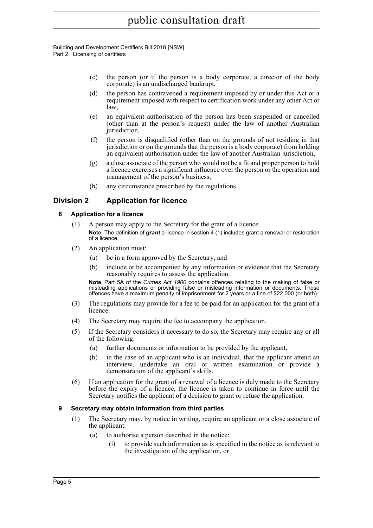Building and Development Certifiers Bill 2018 [NSW] Part 2 Licensing of certifiers

- (c) the person (or if the person is a body corporate, a director of the body corporate) is an undischarged bankrupt,
- (d) the person has contravened a requirement imposed by or under this Act or a requirement imposed with respect to certification work under any other Act or law,
- (e) an equivalent authorisation of the person has been suspended or cancelled (other than at the person's request) under the law of another Australian jurisdiction,
- (f) the person is disqualified (other than on the grounds of not residing in that jurisdiction or on the grounds that the person is a body corporate) from holding an equivalent authorisation under the law of another Australian jurisdiction,
- (g) a close associate of the person who would not be a fit and proper person to hold a licence exercises a significant influence over the person or the operation and management of the person's business,
- (h) any circumstance prescribed by the regulations.

### <span id="page-19-1"></span><span id="page-19-0"></span>**Division 2 Application for licence**

### **8 Application for a licence**

- (1) A person may apply to the Secretary for the grant of a licence. **Note.** The definition of *grant* a licence in section 4 (1) includes grant a renewal or restoration of a licence.
- (2) An application must:
	- (a) be in a form approved by the Secretary, and
	- (b) include or be accompanied by any information or evidence that the Secretary reasonably requires to assess the application.

**Note.** Part 5A of the *Crimes Act 1900* contains offences relating to the making of false or misleading applications or providing false or misleading information or documents. Those offences have a maximum penalty of imprisonment for 2 years or a fine of \$22,000 (or both).

- (3) The regulations may provide for a fee to be paid for an application for the grant of a licence.
- (4) The Secretary may require the fee to accompany the application.
- (5) If the Secretary considers it necessary to do so, the Secretary may require any or all of the following:
	- (a) further documents or information to be provided by the applicant,
	- (b) in the case of an applicant who is an individual, that the applicant attend an interview, undertake an oral or written examination or provide a demonstration of the applicant's skills.
- (6) If an application for the grant of a renewal of a licence is duly made to the Secretary before the expiry of a licence, the licence is taken to continue in force until the Secretary notifies the applicant of a decision to grant or refuse the application.

### <span id="page-19-2"></span>**9 Secretary may obtain information from third parties**

- (1) The Secretary may, by notice in writing, require an applicant or a close associate of the applicant:
	- (a) to authorise a person described in the notice:
		- (i) to provide such information as is specified in the notice as is relevant to the investigation of the application, or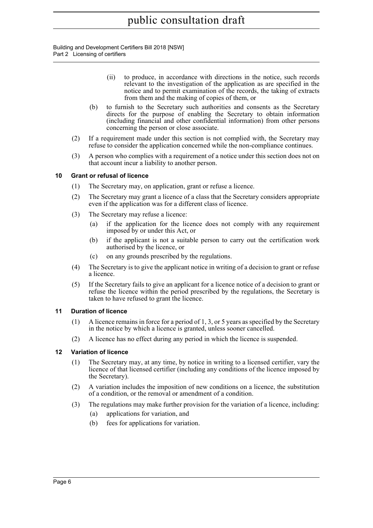Building and Development Certifiers Bill 2018 [NSW] Part 2 Licensing of certifiers

- (ii) to produce, in accordance with directions in the notice, such records relevant to the investigation of the application as are specified in the notice and to permit examination of the records, the taking of extracts from them and the making of copies of them, or
- (b) to furnish to the Secretary such authorities and consents as the Secretary directs for the purpose of enabling the Secretary to obtain information (including financial and other confidential information) from other persons concerning the person or close associate.
- (2) If a requirement made under this section is not complied with, the Secretary may refuse to consider the application concerned while the non-compliance continues.
- (3) A person who complies with a requirement of a notice under this section does not on that account incur a liability to another person.

### <span id="page-20-0"></span>**10 Grant or refusal of licence**

- (1) The Secretary may, on application, grant or refuse a licence.
- (2) The Secretary may grant a licence of a class that the Secretary considers appropriate even if the application was for a different class of licence.
- (3) The Secretary may refuse a licence:
	- (a) if the application for the licence does not comply with any requirement imposed by or under this Act, or
	- (b) if the applicant is not a suitable person to carry out the certification work authorised by the licence, or
	- (c) on any grounds prescribed by the regulations.
- (4) The Secretary is to give the applicant notice in writing of a decision to grant or refuse a licence.
- (5) If the Secretary fails to give an applicant for a licence notice of a decision to grant or refuse the licence within the period prescribed by the regulations, the Secretary is taken to have refused to grant the licence.

### <span id="page-20-1"></span>**11 Duration of licence**

- (1) A licence remains in force for a period of 1, 3, or 5 years as specified by the Secretary in the notice by which a licence is granted, unless sooner cancelled.
- (2) A licence has no effect during any period in which the licence is suspended.

#### <span id="page-20-2"></span>**12 Variation of licence**

- (1) The Secretary may, at any time, by notice in writing to a licensed certifier, vary the licence of that licensed certifier (including any conditions of the licence imposed by the Secretary).
- (2) A variation includes the imposition of new conditions on a licence, the substitution of a condition, or the removal or amendment of a condition.
- (3) The regulations may make further provision for the variation of a licence, including:
	- (a) applications for variation, and
	- (b) fees for applications for variation.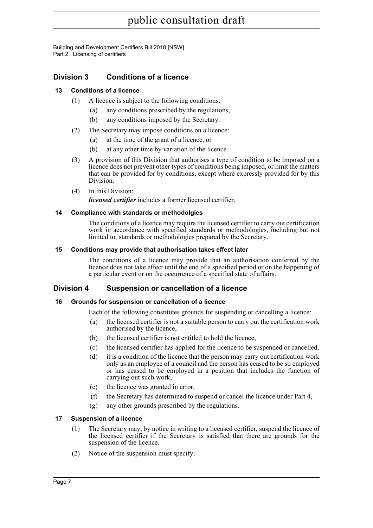Building and Development Certifiers Bill 2018 [NSW] Part 2 Licensing of certifiers

### <span id="page-21-0"></span>**Division 3 Conditions of a licence**

### <span id="page-21-1"></span>**13 Conditions of a licence**

- (1) A licence is subject to the following conditions:
	- (a) any conditions prescribed by the regulations,
	- (b) any conditions imposed by the Secretary.
- (2) The Secretary may impose conditions on a licence:
	- (a) at the time of the grant of a licence, or
	- (b) at any other time by variation of the licence.
- (3) A provision of this Division that authorises a type of condition to be imposed on a licence does not prevent other types of conditions being imposed, or limit the matters that can be provided for by conditions, except where expressly provided for by this Division.
- (4) In this Division:

*licensed certifier* includes a former licensed certifier.

### <span id="page-21-2"></span>**14 Compliance with standards or methodolgies**

The conditions of a licence may require the licensed certifier to carry out certification work in accordance with specified standards or methodologies, including but not limited to, standards or methodologies prepared by the Secretary.

### <span id="page-21-3"></span>**15 Conditions may provide that authorisation takes effect later**

The conditions of a licence may provide that an authorisation conferred by the licence does not take effect until the end of a specified period or on the happening of a particular event or on the occurrence of a specified state of affairs.

### <span id="page-21-4"></span>**Division 4 Suspension or cancellation of a licence**

### <span id="page-21-5"></span>**16 Grounds for suspension or cancellation of a licence**

Each of the following constitutes grounds for suspending or cancelling a licence:

- (a) the licensed certifier is not a suitable person to carry out the certification work authorised by the licence,
- (b) the licensed certifier is not entitled to hold the licence,
- (c) the licensed certifier has applied for the licence to be suspended or cancelled,
- (d) it is a condition of the licence that the person may carry out certification work only as an employee of a council and the person has ceased to be so employed or has ceased to be employed in a position that includes the function of carrying out such work,
- (e) the licence was granted in error,
- (f) the Secretary has determined to suspend or cancel the licence under Part 4,
- (g) any other grounds prescribed by the regulations.

#### <span id="page-21-6"></span>**17 Suspension of a licence**

- (1) The Secretary may, by notice in writing to a licensed certifier, suspend the licence of the licensed certifier if the Secretary is satisfied that there are grounds for the suspension of the licence.
- (2) Notice of the suspension must specify: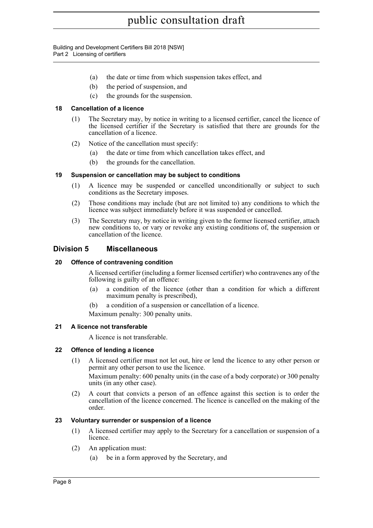Building and Development Certifiers Bill 2018 [NSW] Part 2 Licensing of certifiers

- (a) the date or time from which suspension takes effect, and
- (b) the period of suspension, and
- (c) the grounds for the suspension.

### <span id="page-22-0"></span>**18 Cancellation of a licence**

- (1) The Secretary may, by notice in writing to a licensed certifier, cancel the licence of the licensed certifier if the Secretary is satisfied that there are grounds for the cancellation of a licence.
- (2) Notice of the cancellation must specify:
	- (a) the date or time from which cancellation takes effect, and
	- (b) the grounds for the cancellation.

### <span id="page-22-1"></span>**19 Suspension or cancellation may be subject to conditions**

- (1) A licence may be suspended or cancelled unconditionally or subject to such conditions as the Secretary imposes.
- (2) Those conditions may include (but are not limited to) any conditions to which the licence was subject immediately before it was suspended or cancelled.
- (3) The Secretary may, by notice in writing given to the former licensed certifier, attach new conditions to, or vary or revoke any existing conditions of, the suspension or cancellation of the licence.

### <span id="page-22-2"></span>**Division 5 Miscellaneous**

### <span id="page-22-3"></span>**20 Offence of contravening condition**

A licensed certifier (including a former licensed certifier) who contravenes any of the following is guilty of an offence:

- (a) a condition of the licence (other than a condition for which a different maximum penalty is prescribed),
- (b) a condition of a suspension or cancellation of a licence.

Maximum penalty: 300 penalty units.

### <span id="page-22-4"></span>**21 A licence not transferable**

A licence is not transferable.

### <span id="page-22-5"></span>**22 Offence of lending a licence**

- (1) A licensed certifier must not let out, hire or lend the licence to any other person or permit any other person to use the licence. Maximum penalty: 600 penalty units (in the case of a body corporate) or 300 penalty units (in any other case).
- (2) A court that convicts a person of an offence against this section is to order the cancellation of the licence concerned. The licence is cancelled on the making of the order.

### <span id="page-22-6"></span>**23 Voluntary surrender or suspension of a licence**

- (1) A licensed certifier may apply to the Secretary for a cancellation or suspension of a licence.
- (2) An application must:
	- (a) be in a form approved by the Secretary, and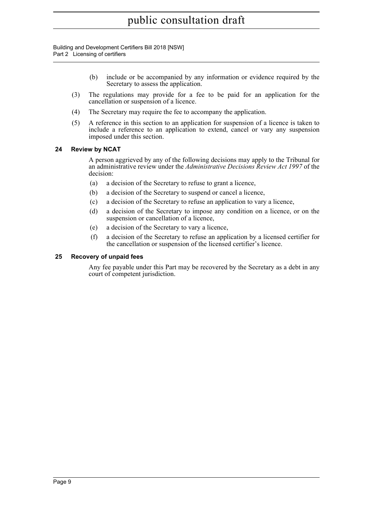Building and Development Certifiers Bill 2018 [NSW] Part 2 Licensing of certifiers

- (b) include or be accompanied by any information or evidence required by the Secretary to assess the application.
- (3) The regulations may provide for a fee to be paid for an application for the cancellation or suspension of a licence.
- (4) The Secretary may require the fee to accompany the application.
- (5) A reference in this section to an application for suspension of a licence is taken to include a reference to an application to extend, cancel or vary any suspension imposed under this section.

### <span id="page-23-0"></span>**24 Review by NCAT**

A person aggrieved by any of the following decisions may apply to the Tribunal for an administrative review under the *Administrative Decisions Review Act 1997* of the decision:

- (a) a decision of the Secretary to refuse to grant a licence,
- (b) a decision of the Secretary to suspend or cancel a licence,
- (c) a decision of the Secretary to refuse an application to vary a licence,
- (d) a decision of the Secretary to impose any condition on a licence, or on the suspension or cancellation of a licence,
- (e) a decision of the Secretary to vary a licence,
- (f) a decision of the Secretary to refuse an application by a licensed certifier for the cancellation or suspension of the licensed certifier's licence.

### <span id="page-23-1"></span>**25 Recovery of unpaid fees**

Any fee payable under this Part may be recovered by the Secretary as a debt in any court of competent jurisdiction.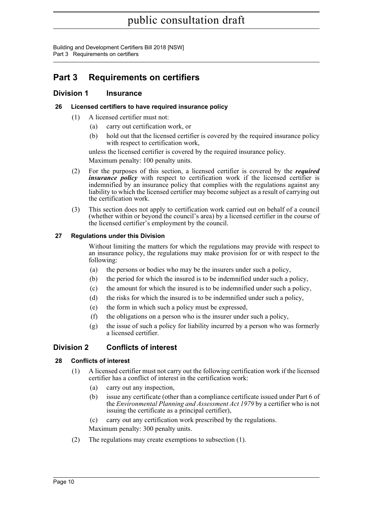Building and Development Certifiers Bill 2018 [NSW] Part 3 Requirements on certifiers

## <span id="page-24-0"></span>**Part 3 Requirements on certifiers**

### <span id="page-24-1"></span>**Division 1 Insurance**

### <span id="page-24-2"></span>**26 Licensed certifiers to have required insurance policy**

- (1) A licensed certifier must not:
	- (a) carry out certification work, or
	- (b) hold out that the licensed certifier is covered by the required insurance policy with respect to certification work,

unless the licensed certifier is covered by the required insurance policy.

Maximum penalty: 100 penalty units.

- (2) For the purposes of this section, a licensed certifier is covered by the *required insurance policy* with respect to certification work if the licensed certifier is indemnified by an insurance policy that complies with the regulations against any liability to which the licensed certifier may become subject as a result of carrying out the certification work.
- (3) This section does not apply to certification work carried out on behalf of a council (whether within or beyond the council's area) by a licensed certifier in the course of the licensed certifier's employment by the council.

### <span id="page-24-3"></span>**27 Regulations under this Division**

Without limiting the matters for which the regulations may provide with respect to an insurance policy, the regulations may make provision for or with respect to the following:

- (a) the persons or bodies who may be the insurers under such a policy,
- (b) the period for which the insured is to be indemnified under such a policy,
- (c) the amount for which the insured is to be indemnified under such a policy,
- (d) the risks for which the insured is to be indemnified under such a policy,
- (e) the form in which such a policy must be expressed,
- (f) the obligations on a person who is the insurer under such a policy,
- (g) the issue of such a policy for liability incurred by a person who was formerly a licensed certifier.

### <span id="page-24-4"></span>**Division 2 Conflicts of interest**

### <span id="page-24-5"></span>**28 Conflicts of interest**

- (1) A licensed certifier must not carry out the following certification work if the licensed certifier has a conflict of interest in the certification work:
	- (a) carry out any inspection,
	- (b) issue any certificate (other than a compliance certificate issued under Part 6 of the *Environmental Planning and Assessment Act 1979* by a certifier who is not issuing the certificate as a principal certifier),
	- (c) carry out any certification work prescribed by the regulations.

Maximum penalty: 300 penalty units.

(2) The regulations may create exemptions to subsection (1).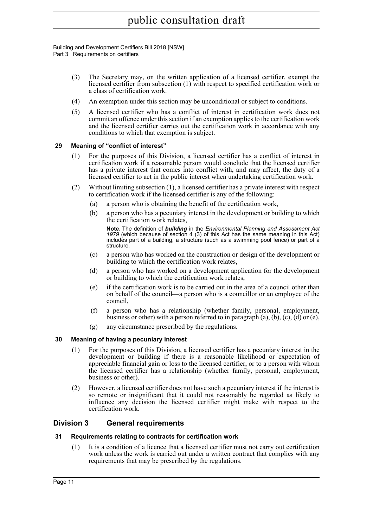Building and Development Certifiers Bill 2018 [NSW] Part 3 Requirements on certifiers

- (3) The Secretary may, on the written application of a licensed certifier, exempt the licensed certifier from subsection (1) with respect to specified certification work or a class of certification work.
- (4) An exemption under this section may be unconditional or subject to conditions.
- (5) A licensed certifier who has a conflict of interest in certification work does not commit an offence under this section if an exemption applies to the certification work and the licensed certifier carries out the certification work in accordance with any conditions to which that exemption is subject.

### <span id="page-25-0"></span>**29 Meaning of "conflict of interest"**

- (1) For the purposes of this Division, a licensed certifier has a conflict of interest in certification work if a reasonable person would conclude that the licensed certifier has a private interest that comes into conflict with, and may affect, the duty of a licensed certifier to act in the public interest when undertaking certification work.
- (2) Without limiting subsection (1), a licensed certifier has a private interest with respect to certification work if the licensed certifier is any of the following:
	- (a) a person who is obtaining the benefit of the certification work,
	- (b) a person who has a pecuniary interest in the development or building to which the certification work relates,

**Note.** The definition of *building* in the *Environmental Planning and Assessment Act 1979* (which because of section 4 (3) of this Act has the same meaning in this Act) includes part of a building, a structure (such as a swimming pool fence) or part of a structure.

- (c) a person who has worked on the construction or design of the development or building to which the certification work relates,
- (d) a person who has worked on a development application for the development or building to which the certification work relates,
- (e) if the certification work is to be carried out in the area of a council other than on behalf of the council—a person who is a councillor or an employee of the council,
- (f) a person who has a relationship (whether family, personal, employment, business or other) with a person referred to in paragraph  $(a)$ ,  $(b)$ ,  $(c)$ ,  $(d)$  or  $(e)$ ,
- (g) any circumstance prescribed by the regulations.

### <span id="page-25-1"></span>**30 Meaning of having a pecuniary interest**

- (1) For the purposes of this Division, a licensed certifier has a pecuniary interest in the development or building if there is a reasonable likelihood or expectation of appreciable financial gain or loss to the licensed certifier, or to a person with whom the licensed certifier has a relationship (whether family, personal, employment, business or other).
- (2) However, a licensed certifier does not have such a pecuniary interest if the interest is so remote or insignificant that it could not reasonably be regarded as likely to influence any decision the licensed certifier might make with respect to the certification work.

### <span id="page-25-2"></span>**Division 3 General requirements**

#### <span id="page-25-3"></span>**31 Requirements relating to contracts for certification work**

(1) It is a condition of a licence that a licensed certifier must not carry out certification work unless the work is carried out under a written contract that complies with any requirements that may be prescribed by the regulations.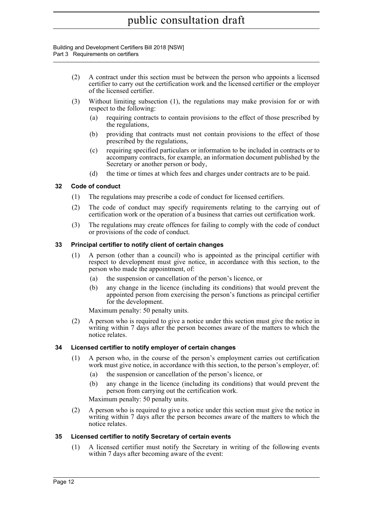Building and Development Certifiers Bill 2018 [NSW] Part 3 Requirements on certifiers

- (2) A contract under this section must be between the person who appoints a licensed certifier to carry out the certification work and the licensed certifier or the employer of the licensed certifier.
- (3) Without limiting subsection (1), the regulations may make provision for or with respect to the following:
	- (a) requiring contracts to contain provisions to the effect of those prescribed by the regulations,
	- (b) providing that contracts must not contain provisions to the effect of those prescribed by the regulations,
	- (c) requiring specified particulars or information to be included in contracts or to accompany contracts, for example, an information document published by the Secretary or another person or body,
	- (d) the time or times at which fees and charges under contracts are to be paid.

### <span id="page-26-0"></span>**32 Code of conduct**

- (1) The regulations may prescribe a code of conduct for licensed certifiers.
- (2) The code of conduct may specify requirements relating to the carrying out of certification work or the operation of a business that carries out certification work.
- (3) The regulations may create offences for failing to comply with the code of conduct or provisions of the code of conduct.

### <span id="page-26-1"></span>**33 Principal certifier to notify client of certain changes**

- (1) A person (other than a council) who is appointed as the principal certifier with respect to development must give notice, in accordance with this section, to the person who made the appointment, of:
	- (a) the suspension or cancellation of the person's licence, or
	- (b) any change in the licence (including its conditions) that would prevent the appointed person from exercising the person's functions as principal certifier for the development.

Maximum penalty: 50 penalty units.

(2) A person who is required to give a notice under this section must give the notice in writing within 7 days after the person becomes aware of the matters to which the notice relates.

### <span id="page-26-2"></span>**34 Licensed certifier to notify employer of certain changes**

- (1) A person who, in the course of the person's employment carries out certification work must give notice, in accordance with this section, to the person's employer, of:
	- (a) the suspension or cancellation of the person's licence, or
	- (b) any change in the licence (including its conditions) that would prevent the person from carrying out the certification work.

Maximum penalty: 50 penalty units.

(2) A person who is required to give a notice under this section must give the notice in writing within 7 days after the person becomes aware of the matters to which the notice relates.

### <span id="page-26-3"></span>**35 Licensed certifier to notify Secretary of certain events**

(1) A licensed certifier must notify the Secretary in writing of the following events within 7 days after becoming aware of the event: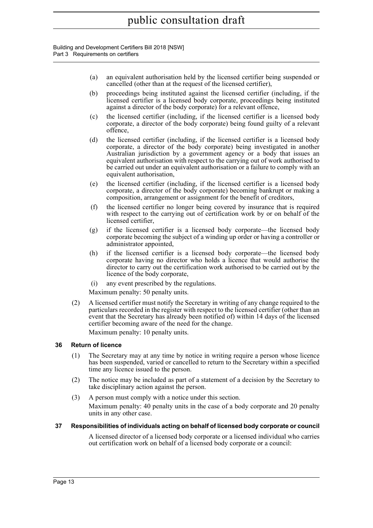Building and Development Certifiers Bill 2018 [NSW] Part 3 Requirements on certifiers

- (a) an equivalent authorisation held by the licensed certifier being suspended or cancelled (other than at the request of the licensed certifier),
- (b) proceedings being instituted against the licensed certifier (including, if the licensed certifier is a licensed body corporate, proceedings being instituted against a director of the body corporate) for a relevant offence,
- (c) the licensed certifier (including, if the licensed certifier is a licensed body corporate, a director of the body corporate) being found guilty of a relevant offence,
- (d) the licensed certifier (including, if the licensed certifier is a licensed body corporate, a director of the body corporate) being investigated in another Australian jurisdiction by a government agency or a body that issues an equivalent authorisation with respect to the carrying out of work authorised to be carried out under an equivalent authorisation or a failure to comply with an equivalent authorisation,
- (e) the licensed certifier (including, if the licensed certifier is a licensed body corporate, a director of the body corporate) becoming bankrupt or making a composition, arrangement or assignment for the benefit of creditors,
- (f) the licensed certifier no longer being covered by insurance that is required with respect to the carrying out of certification work by or on behalf of the licensed certifier,
- (g) if the licensed certifier is a licensed body corporate—the licensed body corporate becoming the subject of a winding up order or having a controller or administrator appointed,
- (h) if the licensed certifier is a licensed body corporate—the licensed body corporate having no director who holds a licence that would authorise the director to carry out the certification work authorised to be carried out by the licence of the body corporate,
- (i) any event prescribed by the regulations.

Maximum penalty: 50 penalty units.

(2) A licensed certifier must notify the Secretary in writing of any change required to the particulars recorded in the register with respect to the licensed certifier (other than an event that the Secretary has already been notified of) within 14 days of the licensed certifier becoming aware of the need for the change.

Maximum penalty: 10 penalty units.

### <span id="page-27-0"></span>**36 Return of licence**

- (1) The Secretary may at any time by notice in writing require a person whose licence has been suspended, varied or cancelled to return to the Secretary within a specified time any licence issued to the person.
- (2) The notice may be included as part of a statement of a decision by the Secretary to take disciplinary action against the person.
- (3) A person must comply with a notice under this section.

Maximum penalty: 40 penalty units in the case of a body corporate and 20 penalty units in any other case.

### <span id="page-27-1"></span>**37 Responsibilities of individuals acting on behalf of licensed body corporate or council**

A licensed director of a licensed body corporate or a licensed individual who carries out certification work on behalf of a licensed body corporate or a council: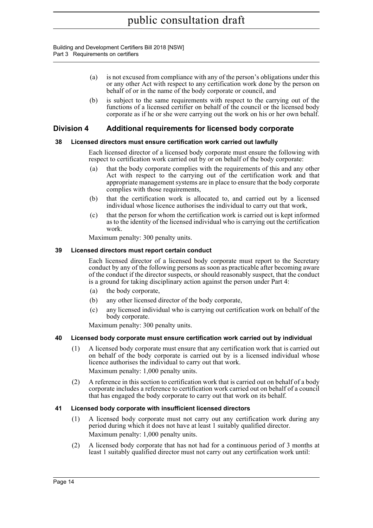Building and Development Certifiers Bill 2018 [NSW] Part 3 Requirements on certifiers

- (a) is not excused from compliance with any of the person's obligations under this or any other Act with respect to any certification work done by the person on behalf of or in the name of the body corporate or council, and
- (b) is subject to the same requirements with respect to the carrying out of the functions of a licensed certifier on behalf of the council or the licensed body corporate as if he or she were carrying out the work on his or her own behalf.

### <span id="page-28-0"></span>**Division 4 Additional requirements for licensed body corporate**

### <span id="page-28-1"></span>**38 Licensed directors must ensure certification work carried out lawfully**

Each licensed director of a licensed body corporate must ensure the following with respect to certification work carried out by or on behalf of the body corporate:

- (a) that the body corporate complies with the requirements of this and any other Act with respect to the carrying out of the certification work and that appropriate management systems are in place to ensure that the body corporate complies with those requirements,
- (b) that the certification work is allocated to, and carried out by a licensed individual whose licence authorises the individual to carry out that work,
- (c) that the person for whom the certification work is carried out is kept informed as to the identity of the licensed individual who is carrying out the certification work.

Maximum penalty: 300 penalty units.

### <span id="page-28-2"></span>**39 Licensed directors must report certain conduct**

Each licensed director of a licensed body corporate must report to the Secretary conduct by any of the following persons as soon as practicable after becoming aware of the conduct if the director suspects, or should reasonably suspect, that the conduct is a ground for taking disciplinary action against the person under Part 4:

- (a) the body corporate,
- (b) any other licensed director of the body corporate,
- (c) any licensed individual who is carrying out certification work on behalf of the body corporate.

Maximum penalty: 300 penalty units.

### <span id="page-28-3"></span>**40 Licensed body corporate must ensure certification work carried out by individual**

- (1) A licensed body corporate must ensure that any certification work that is carried out on behalf of the body corporate is carried out by is a licensed individual whose licence authorises the individual to carry out that work. Maximum penalty: 1,000 penalty units.
- (2) A reference in this section to certification work that is carried out on behalf of a body corporate includes a reference to certification work carried out on behalf of a council that has engaged the body corporate to carry out that work on its behalf.

### <span id="page-28-4"></span>**41 Licensed body corporate with insufficient licensed directors**

- (1) A licensed body corporate must not carry out any certification work during any period during which it does not have at least 1 suitably qualified director. Maximum penalty: 1,000 penalty units.
- (2) A licensed body corporate that has not had for a continuous period of 3 months at least 1 suitably qualified director must not carry out any certification work until: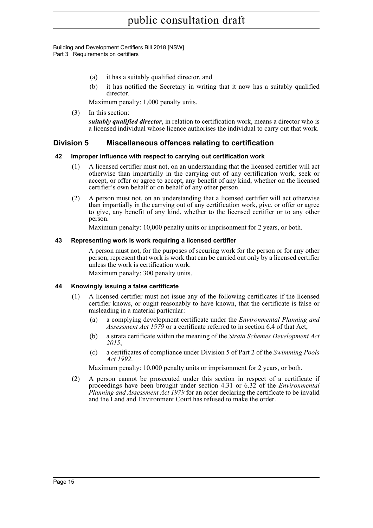Building and Development Certifiers Bill 2018 [NSW] Part 3 Requirements on certifiers

- (a) it has a suitably qualified director, and
- (b) it has notified the Secretary in writing that it now has a suitably qualified director.

Maximum penalty: 1,000 penalty units.

(3) In this section:

*suitably qualified director*, in relation to certification work, means a director who is a licensed individual whose licence authorises the individual to carry out that work.

### <span id="page-29-0"></span>**Division 5 Miscellaneous offences relating to certification**

### <span id="page-29-1"></span>**42 Improper influence with respect to carrying out certification work**

- (1) A licensed certifier must not, on an understanding that the licensed certifier will act otherwise than impartially in the carrying out of any certification work, seek or accept, or offer or agree to accept, any benefit of any kind, whether on the licensed certifier's own behalf or on behalf of any other person.
- (2) A person must not, on an understanding that a licensed certifier will act otherwise than impartially in the carrying out of any certification work, give, or offer or agree to give, any benefit of any kind, whether to the licensed certifier or to any other person.

Maximum penalty: 10,000 penalty units or imprisonment for 2 years, or both.

### <span id="page-29-2"></span>**43 Representing work is work requiring a licensed certifier**

A person must not, for the purposes of securing work for the person or for any other person, represent that work is work that can be carried out only by a licensed certifier unless the work is certification work.

Maximum penalty: 300 penalty units.

### <span id="page-29-3"></span>**44 Knowingly issuing a false certificate**

- (1) A licensed certifier must not issue any of the following certificates if the licensed certifier knows, or ought reasonably to have known, that the certificate is false or misleading in a material particular:
	- (a) a complying development certificate under the *Environmental Planning and Assessment Act 1979* or a certificate referred to in section 6.4 of that Act,
	- (b) a strata certificate within the meaning of the *Strata Schemes Development Act 2015*,
	- (c) a certificates of compliance under Division 5 of Part 2 of the *Swimming Pools Act 1992*.

Maximum penalty: 10,000 penalty units or imprisonment for 2 years, or both.

(2) A person cannot be prosecuted under this section in respect of a certificate if proceedings have been brought under section 4.31 or 6.32 of the *Environmental Planning and Assessment Act 1979* for an order declaring the certificate to be invalid and the Land and Environment Court has refused to make the order.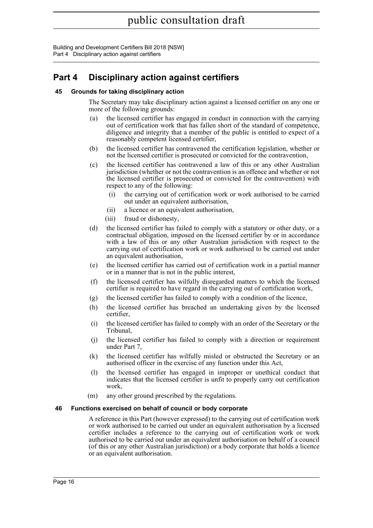Building and Development Certifiers Bill 2018 [NSW] Part 4 Disciplinary action against certifiers

## <span id="page-30-0"></span>**Part 4 Disciplinary action against certifiers**

### <span id="page-30-1"></span>**45 Grounds for taking disciplinary action**

The Secretary may take disciplinary action against a licensed certifier on any one or more of the following grounds:

- (a) the licensed certifier has engaged in conduct in connection with the carrying out of certification work that has fallen short of the standard of competence, diligence and integrity that a member of the public is entitled to expect of a reasonably competent licensed certifier,
- (b) the licensed certifier has contravened the certification legislation, whether or not the licensed certifier is prosecuted or convicted for the contravention,
- (c) the licensed certifier has contravened a law of this or any other Australian jurisdiction (whether or not the contravention is an offence and whether or not the licensed certifier is prosecuted or convicted for the contravention) with respect to any of the following:
	- (i) the carrying out of certification work or work authorised to be carried out under an equivalent authorisation,
	- (ii) a licence or an equivalent authorisation,
	- (iii) fraud or dishonesty,
- (d) the licensed certifier has failed to comply with a statutory or other duty, or a contractual obligation, imposed on the licensed certifier by or in accordance with a law of this or any other Australian jurisdiction with respect to the carrying out of certification work or work authorised to be carried out under an equivalent authorisation,
- (e) the licensed certifier has carried out of certification work in a partial manner or in a manner that is not in the public interest,
- (f) the licensed certifier has wilfully disregarded matters to which the licensed certifier is required to have regard in the carrying out of certification work,
- (g) the licensed certifier has failed to comply with a condition of the licence,
- (h) the licensed certifier has breached an undertaking given by the licensed certifier,
- (i) the licensed certifier has failed to comply with an order of the Secretary or the Tribunal,
- (j) the licensed certifier has failed to comply with a direction or requirement under Part 7,
- (k) the licensed certifier has wilfully misled or obstructed the Secretary or an authorised officer in the exercise of any function under this Act,
- (l) the licensed certifier has engaged in improper or unethical conduct that indicates that the licensed certifier is unfit to properly carry out certification work,
- (m) any other ground prescribed by the regulations.

#### <span id="page-30-2"></span>**46 Functions exercised on behalf of council or body corporate**

A reference in this Part (however expressed) to the carrying out of certification work or work authorised to be carried out under an equivalent authorisation by a licensed certifier includes a reference to the carrying out of certification work or work authorised to be carried out under an equivalent authorisation on behalf of a council (of this or any other Australian jurisdiction) or a body corporate that holds a licence or an equivalent authorisation.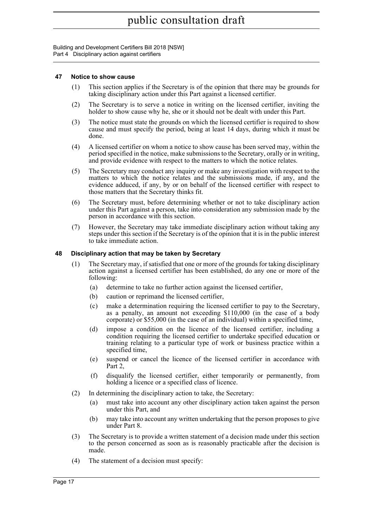Building and Development Certifiers Bill 2018 [NSW] Part 4 Disciplinary action against certifiers

### <span id="page-31-0"></span>**47 Notice to show cause**

- (1) This section applies if the Secretary is of the opinion that there may be grounds for taking disciplinary action under this Part against a licensed certifier.
- (2) The Secretary is to serve a notice in writing on the licensed certifier, inviting the holder to show cause why he, she or it should not be dealt with under this Part.
- (3) The notice must state the grounds on which the licensed certifier is required to show cause and must specify the period, being at least 14 days, during which it must be done.
- (4) A licensed certifier on whom a notice to show cause has been served may, within the period specified in the notice, make submissions to the Secretary, orally or in writing, and provide evidence with respect to the matters to which the notice relates.
- (5) The Secretary may conduct any inquiry or make any investigation with respect to the matters to which the notice relates and the submissions made, if any, and the evidence adduced, if any, by or on behalf of the licensed certifier with respect to those matters that the Secretary thinks fit.
- (6) The Secretary must, before determining whether or not to take disciplinary action under this Part against a person, take into consideration any submission made by the person in accordance with this section.
- (7) However, the Secretary may take immediate disciplinary action without taking any steps under this section if the Secretary is of the opinion that it is in the public interest to take immediate action.

### <span id="page-31-1"></span>**48 Disciplinary action that may be taken by Secretary**

- (1) The Secretary may, if satisfied that one or more of the grounds for taking disciplinary action against a licensed certifier has been established, do any one or more of the following:
	- (a) determine to take no further action against the licensed certifier,
	- (b) caution or reprimand the licensed certifier,
	- (c) make a determination requiring the licensed certifier to pay to the Secretary, as a penalty, an amount not exceeding \$110,000 (in the case of a body corporate) or \$55,000 (in the case of an individual) within a specified time,
	- (d) impose a condition on the licence of the licensed certifier, including a condition requiring the licensed certifier to undertake specified education or training relating to a particular type of work or business practice within a specified time,
	- (e) suspend or cancel the licence of the licensed certifier in accordance with Part 2,
	- (f) disqualify the licensed certifier, either temporarily or permanently, from holding a licence or a specified class of licence.
- (2) In determining the disciplinary action to take, the Secretary:
	- (a) must take into account any other disciplinary action taken against the person under this Part, and
	- (b) may take into account any written undertaking that the person proposes to give under Part 8.
- (3) The Secretary is to provide a written statement of a decision made under this section to the person concerned as soon as is reasonably practicable after the decision is made.
- (4) The statement of a decision must specify: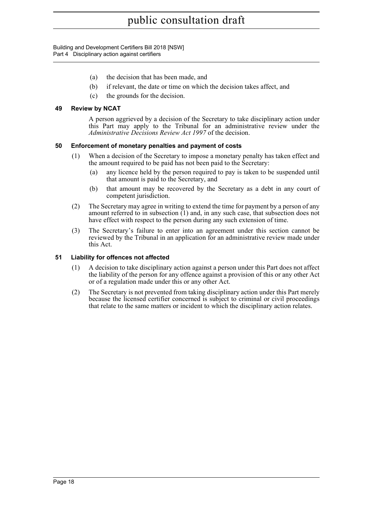Building and Development Certifiers Bill 2018 [NSW] Part 4 Disciplinary action against certifiers

- (a) the decision that has been made, and
- (b) if relevant, the date or time on which the decision takes affect, and
- (c) the grounds for the decision.

### <span id="page-32-0"></span>**49 Review by NCAT**

A person aggrieved by a decision of the Secretary to take disciplinary action under this Part may apply to the Tribunal for an administrative review under the *Administrative Decisions Review Act 1997* of the decision.

### <span id="page-32-1"></span>**50 Enforcement of monetary penalties and payment of costs**

- (1) When a decision of the Secretary to impose a monetary penalty has taken effect and the amount required to be paid has not been paid to the Secretary:
	- (a) any licence held by the person required to pay is taken to be suspended until that amount is paid to the Secretary, and
	- (b) that amount may be recovered by the Secretary as a debt in any court of competent jurisdiction.
- (2) The Secretary may agree in writing to extend the time for payment by a person of any amount referred to in subsection (1) and, in any such case, that subsection does not have effect with respect to the person during any such extension of time.
- (3) The Secretary's failure to enter into an agreement under this section cannot be reviewed by the Tribunal in an application for an administrative review made under this Act.

### <span id="page-32-2"></span>**51 Liability for offences not affected**

- (1) A decision to take disciplinary action against a person under this Part does not affect the liability of the person for any offence against a provision of this or any other Act or of a regulation made under this or any other Act.
- (2) The Secretary is not prevented from taking disciplinary action under this Part merely because the licensed certifier concerned is subject to criminal or civil proceedings that relate to the same matters or incident to which the disciplinary action relates.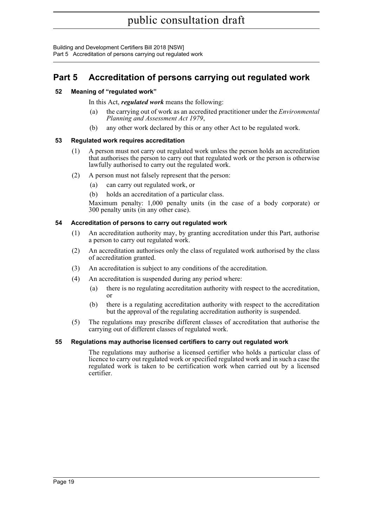Building and Development Certifiers Bill 2018 [NSW] Part 5 Accreditation of persons carrying out regulated work

## <span id="page-33-0"></span>**Part 5 Accreditation of persons carrying out regulated work**

### <span id="page-33-1"></span>**52 Meaning of "regulated work"**

In this Act, *regulated work* means the following:

- (a) the carrying out of work as an accredited practitioner under the *Environmental Planning and Assessment Act 1979*,
- (b) any other work declared by this or any other Act to be regulated work.

### <span id="page-33-2"></span>**53 Regulated work requires accreditation**

- (1) A person must not carry out regulated work unless the person holds an accreditation that authorises the person to carry out that regulated work or the person is otherwise lawfully authorised to carry out the regulated work.
- (2) A person must not falsely represent that the person:
	- (a) can carry out regulated work, or
	- (b) holds an accreditation of a particular class.

Maximum penalty: 1,000 penalty units (in the case of a body corporate) or 300 penalty units (in any other case).

### <span id="page-33-3"></span>**54 Accreditation of persons to carry out regulated work**

- (1) An accreditation authority may, by granting accreditation under this Part, authorise a person to carry out regulated work.
- (2) An accreditation authorises only the class of regulated work authorised by the class of accreditation granted.
- (3) An accreditation is subject to any conditions of the accreditation.
- (4) An accreditation is suspended during any period where:
	- (a) there is no regulating accreditation authority with respect to the accreditation, or
	- (b) there is a regulating accreditation authority with respect to the accreditation but the approval of the regulating accreditation authority is suspended.
- (5) The regulations may prescribe different classes of accreditation that authorise the carrying out of different classes of regulated work.

### <span id="page-33-4"></span>**55 Regulations may authorise licensed certifiers to carry out regulated work**

The regulations may authorise a licensed certifier who holds a particular class of licence to carry out regulated work or specified regulated work and in such a case the regulated work is taken to be certification work when carried out by a licensed certifier.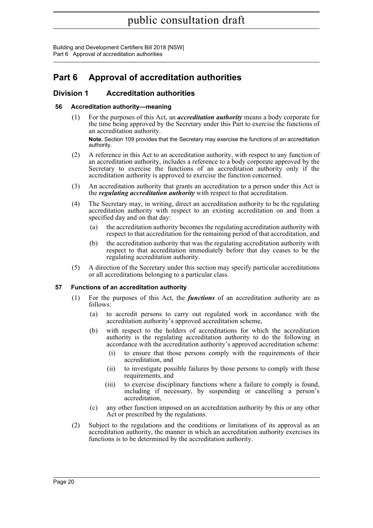## <span id="page-34-0"></span>**Part 6 Approval of accreditation authorities**

### <span id="page-34-1"></span>**Division 1 Accreditation authorities**

### <span id="page-34-2"></span>**56 Accreditation authority—meaning**

(1) For the purposes of this Act, an *accreditation authority* means a body corporate for the time being approved by the Secretary under this Part to exercise the functions of an accreditation authority.

**Note.** Section 109 provides that the Secretary may exercise the functions of an accreditation authority.

- (2) A reference in this Act to an accreditation authority, with respect to any function of an accreditation authority, includes a reference to a body corporate approved by the Secretary to exercise the functions of an accreditation authority only if the accreditation authority is approved to exercise the function concerned.
- (3) An accreditation authority that grants an accreditation to a person under this Act is the *regulating accreditation authority* with respect to that accreditation.
- (4) The Secretary may, in writing, direct an accreditation authority to be the regulating accreditation authority with respect to an existing accreditation on and from a specified day and on that day:
	- (a) the accreditation authority becomes the regulating accreditation authority with respect to that accreditation for the remaining period of that accreditation, and
	- (b) the accreditation authority that was the regulating accreditation authority with respect to that accreditation immediately before that day ceases to be the regulating accreditation authority.
- (5) A direction of the Secretary under this section may specify particular accreditations or all accreditations belonging to a particular class.

### <span id="page-34-3"></span>**57 Functions of an accreditation authority**

- (1) For the purposes of this Act, the *functions* of an accreditation authority are as follows:
	- (a) to accredit persons to carry out regulated work in accordance with the accreditation authority's approved accreditation scheme,
	- (b) with respect to the holders of accreditations for which the accreditation authority is the regulating accreditation authority to do the following in accordance with the accreditation authority's approved accreditation scheme:
		- (i) to ensure that those persons comply with the requirements of their accreditation, and
		- (ii) to investigate possible failures by those persons to comply with those requirements, and
		- (iii) to exercise disciplinary functions where a failure to comply is found, including if necessary, by suspending or cancelling a person's accreditation,
	- (c) any other function imposed on an accreditation authority by this or any other Act or prescribed by the regulations.
- (2) Subject to the regulations and the conditions or limitations of its approval as an accreditation authority, the manner in which an accreditation authority exercises its functions is to be determined by the accreditation authority.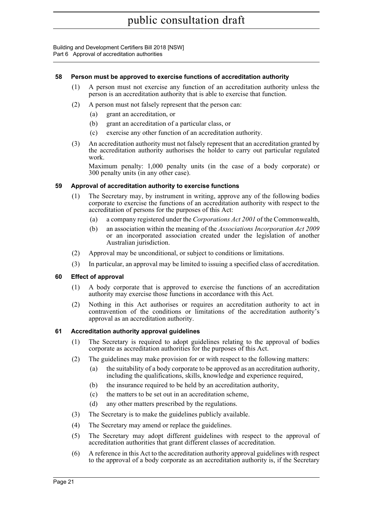### <span id="page-35-0"></span>**58 Person must be approved to exercise functions of accreditation authority**

- (1) A person must not exercise any function of an accreditation authority unless the person is an accreditation authority that is able to exercise that function.
- (2) A person must not falsely represent that the person can:
	- (a) grant an accreditation, or
	- (b) grant an accreditation of a particular class, or
	- (c) exercise any other function of an accreditation authority.
- (3) An accreditation authority must not falsely represent that an accreditation granted by the accreditation authority authorises the holder to carry out particular regulated work.

Maximum penalty: 1,000 penalty units (in the case of a body corporate) or 300 penalty units (in any other case).

### <span id="page-35-1"></span>**59 Approval of accreditation authority to exercise functions**

- (1) The Secretary may, by instrument in writing, approve any of the following bodies corporate to exercise the functions of an accreditation authority with respect to the accreditation of persons for the purposes of this Act:
	- (a) a company registered under the *Corporations Act 2001* of the Commonwealth,
	- (b) an association within the meaning of the *Associations Incorporation Act 2009* or an incorporated association created under the legislation of another Australian jurisdiction.
- (2) Approval may be unconditional, or subject to conditions or limitations.
- (3) In particular, an approval may be limited to issuing a specified class of accreditation.

### <span id="page-35-2"></span>**60 Effect of approval**

- (1) A body corporate that is approved to exercise the functions of an accreditation authority may exercise those functions in accordance with this Act.
- (2) Nothing in this Act authorises or requires an accreditation authority to act in contravention of the conditions or limitations of the accreditation authority's approval as an accreditation authority.

#### <span id="page-35-3"></span>**61 Accreditation authority approval guidelines**

- (1) The Secretary is required to adopt guidelines relating to the approval of bodies corporate as accreditation authorities for the purposes of this Act.
- (2) The guidelines may make provision for or with respect to the following matters:
	- (a) the suitability of a body corporate to be approved as an accreditation authority, including the qualifications, skills, knowledge and experience required,
	- (b) the insurance required to be held by an accreditation authority,
	- (c) the matters to be set out in an accreditation scheme,
	- (d) any other matters prescribed by the regulations.
- (3) The Secretary is to make the guidelines publicly available.
- (4) The Secretary may amend or replace the guidelines.
- (5) The Secretary may adopt different guidelines with respect to the approval of accreditation authorities that grant different classes of accreditation.
- (6) A reference in this Act to the accreditation authority approval guidelines with respect to the approval of a body corporate as an accreditation authority is, if the Secretary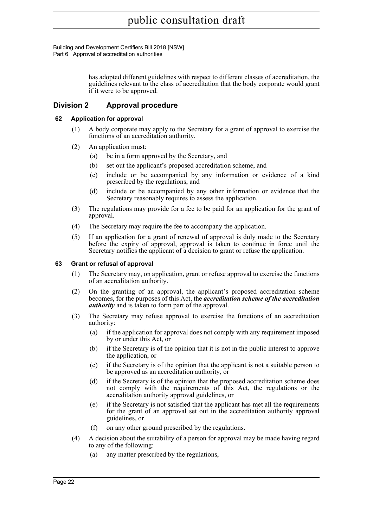Building and Development Certifiers Bill 2018 [NSW] Part 6 Approval of accreditation authorities

> has adopted different guidelines with respect to different classes of accreditation, the guidelines relevant to the class of accreditation that the body corporate would grant if it were to be approved.

### <span id="page-36-0"></span>**Division 2 Approval procedure**

### <span id="page-36-1"></span>**62 Application for approval**

- (1) A body corporate may apply to the Secretary for a grant of approval to exercise the functions of an accreditation authority.
- (2) An application must:
	- (a) be in a form approved by the Secretary, and
	- (b) set out the applicant's proposed accreditation scheme, and
	- (c) include or be accompanied by any information or evidence of a kind prescribed by the regulations, and
	- (d) include or be accompanied by any other information or evidence that the Secretary reasonably requires to assess the application.
- (3) The regulations may provide for a fee to be paid for an application for the grant of approval.
- (4) The Secretary may require the fee to accompany the application.
- (5) If an application for a grant of renewal of approval is duly made to the Secretary before the expiry of approval, approval is taken to continue in force until the Secretary notifies the applicant of a decision to grant or refuse the application.

### <span id="page-36-2"></span>**63 Grant or refusal of approval**

- (1) The Secretary may, on application, grant or refuse approval to exercise the functions of an accreditation authority.
- (2) On the granting of an approval, the applicant's proposed accreditation scheme becomes, for the purposes of this Act, the *accreditation scheme of the accreditation authority* and is taken to form part of the approval.
- (3) The Secretary may refuse approval to exercise the functions of an accreditation authority:
	- (a) if the application for approval does not comply with any requirement imposed by or under this Act, or
	- (b) if the Secretary is of the opinion that it is not in the public interest to approve the application, or
	- (c) if the Secretary is of the opinion that the applicant is not a suitable person to be approved as an accreditation authority, or
	- (d) if the Secretary is of the opinion that the proposed accreditation scheme does not comply with the requirements of this Act, the regulations or the accreditation authority approval guidelines, or
	- (e) if the Secretary is not satisfied that the applicant has met all the requirements for the grant of an approval set out in the accreditation authority approval guidelines, or
	- (f) on any other ground prescribed by the regulations.
- (4) A decision about the suitability of a person for approval may be made having regard to any of the following:
	- (a) any matter prescribed by the regulations,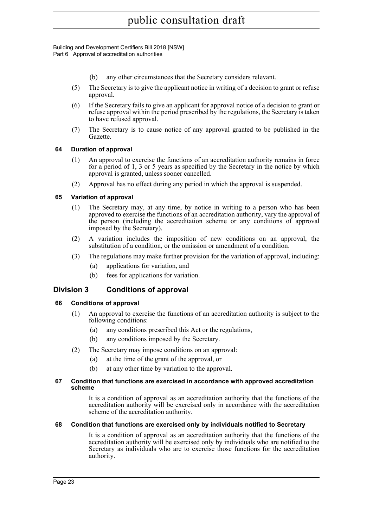- (b) any other circumstances that the Secretary considers relevant.
- (5) The Secretary is to give the applicant notice in writing of a decision to grant or refuse approval.
- (6) If the Secretary fails to give an applicant for approval notice of a decision to grant or refuse approval within the period prescribed by the regulations, the Secretary is taken to have refused approval.
- (7) The Secretary is to cause notice of any approval granted to be published in the Gazette.

### <span id="page-37-0"></span>**64 Duration of approval**

- (1) An approval to exercise the functions of an accreditation authority remains in force for a period of 1, 3 or 5 years as specified by the Secretary in the notice by which approval is granted, unless sooner cancelled.
- (2) Approval has no effect during any period in which the approval is suspended.

### <span id="page-37-1"></span>**65 Variation of approval**

- (1) The Secretary may, at any time, by notice in writing to a person who has been approved to exercise the functions of an accreditation authority, vary the approval of the person (including the accreditation scheme or any conditions of approval imposed by the Secretary).
- (2) A variation includes the imposition of new conditions on an approval, the substitution of a condition, or the omission or amendment of a condition.
- (3) The regulations may make further provision for the variation of approval, including:
	- (a) applications for variation, and
	- (b) fees for applications for variation.

### <span id="page-37-2"></span>**Division 3 Conditions of approval**

### <span id="page-37-3"></span>**66 Conditions of approval**

- (1) An approval to exercise the functions of an accreditation authority is subject to the following conditions:
	- (a) any conditions prescribed this Act or the regulations,
	- (b) any conditions imposed by the Secretary.
- (2) The Secretary may impose conditions on an approval:
	- (a) at the time of the grant of the approval, or
	- (b) at any other time by variation to the approval.

#### <span id="page-37-4"></span>**67 Condition that functions are exercised in accordance with approved accreditation scheme**

It is a condition of approval as an accreditation authority that the functions of the accreditation authority will be exercised only in accordance with the accreditation scheme of the accreditation authority.

#### <span id="page-37-5"></span>**68 Condition that functions are exercised only by individuals notified to Secretary**

It is a condition of approval as an accreditation authority that the functions of the accreditation authority will be exercised only by individuals who are notified to the Secretary as individuals who are to exercise those functions for the accreditation authority.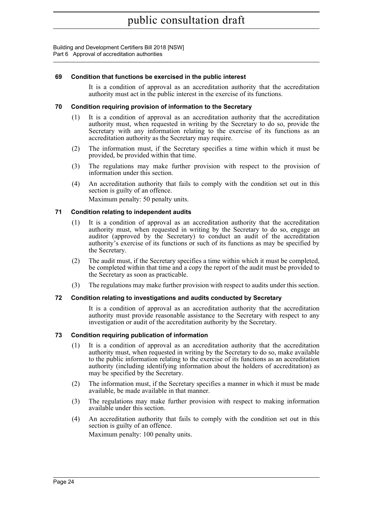### <span id="page-38-0"></span>**69 Condition that functions be exercised in the public interest**

It is a condition of approval as an accreditation authority that the accreditation authority must act in the public interest in the exercise of its functions.

### <span id="page-38-1"></span>**70 Condition requiring provision of information to the Secretary**

- (1) It is a condition of approval as an accreditation authority that the accreditation authority must, when requested in writing by the Secretary to do so, provide the Secretary with any information relating to the exercise of its functions as an accreditation authority as the Secretary may require.
- (2) The information must, if the Secretary specifies a time within which it must be provided, be provided within that time.
- (3) The regulations may make further provision with respect to the provision of information under this section.
- (4) An accreditation authority that fails to comply with the condition set out in this section is guilty of an offence. Maximum penalty: 50 penalty units.

<span id="page-38-2"></span>**71 Condition relating to independent audits**

- (1) It is a condition of approval as an accreditation authority that the accreditation authority must, when requested in writing by the Secretary to do so, engage an auditor (approved by the Secretary) to conduct an audit of the accreditation authority's exercise of its functions or such of its functions as may be specified by the Secretary.
- (2) The audit must, if the Secretary specifies a time within which it must be completed, be completed within that time and a copy the report of the audit must be provided to the Secretary as soon as practicable.
- (3) The regulations may make further provision with respect to audits under this section.

#### <span id="page-38-3"></span>**72 Condition relating to investigations and audits conducted by Secretary**

It is a condition of approval as an accreditation authority that the accreditation authority must provide reasonable assistance to the Secretary with respect to any investigation or audit of the accreditation authority by the Secretary.

### <span id="page-38-4"></span>**73 Condition requiring publication of information**

- (1) It is a condition of approval as an accreditation authority that the accreditation authority must, when requested in writing by the Secretary to do so, make available to the public information relating to the exercise of its functions as an accreditation authority (including identifying information about the holders of accreditation) as may be specified by the Secretary.
- (2) The information must, if the Secretary specifies a manner in which it must be made available, be made available in that manner.
- (3) The regulations may make further provision with respect to making information available under this section.
- (4) An accreditation authority that fails to comply with the condition set out in this section is guilty of an offence.

Maximum penalty: 100 penalty units.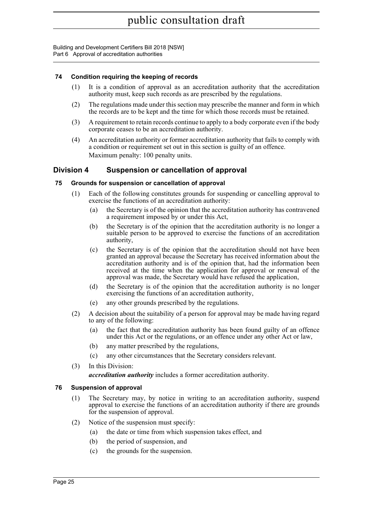### <span id="page-39-0"></span>**74 Condition requiring the keeping of records**

- (1) It is a condition of approval as an accreditation authority that the accreditation authority must, keep such records as are prescribed by the regulations.
- (2) The regulations made under this section may prescribe the manner and form in which the records are to be kept and the time for which those records must be retained.
- (3) A requirement to retain records continue to apply to a body corporate even if the body corporate ceases to be an accreditation authority.
- (4) An accreditation authority or former accreditation authority that fails to comply with a condition or requirement set out in this section is guilty of an offence. Maximum penalty: 100 penalty units.

### <span id="page-39-1"></span>**Division 4 Suspension or cancellation of approval**

### <span id="page-39-2"></span>**75 Grounds for suspension or cancellation of approval**

- (1) Each of the following constitutes grounds for suspending or cancelling approval to exercise the functions of an accreditation authority:
	- (a) the Secretary is of the opinion that the accreditation authority has contravened a requirement imposed by or under this Act,
	- (b) the Secretary is of the opinion that the accreditation authority is no longer a suitable person to be approved to exercise the functions of an accreditation authority,
	- (c) the Secretary is of the opinion that the accreditation should not have been granted an approval because the Secretary has received information about the accreditation authority and is of the opinion that, had the information been received at the time when the application for approval or renewal of the approval was made, the Secretary would have refused the application,
	- (d) the Secretary is of the opinion that the accreditation authority is no longer exercising the functions of an accreditation authority,
	- (e) any other grounds prescribed by the regulations.
- (2) A decision about the suitability of a person for approval may be made having regard to any of the following:
	- (a) the fact that the accreditation authority has been found guilty of an offence under this Act or the regulations, or an offence under any other Act or law,
	- (b) any matter prescribed by the regulations,
	- (c) any other circumstances that the Secretary considers relevant.
- (3) In this Division:

*accreditation authority* includes a former accreditation authority.

#### <span id="page-39-3"></span>**76 Suspension of approval**

- (1) The Secretary may, by notice in writing to an accreditation authority, suspend approval to exercise the functions of an accreditation authority if there are grounds for the suspension of approval.
- (2) Notice of the suspension must specify:
	- (a) the date or time from which suspension takes effect, and
	- (b) the period of suspension, and
	- (c) the grounds for the suspension.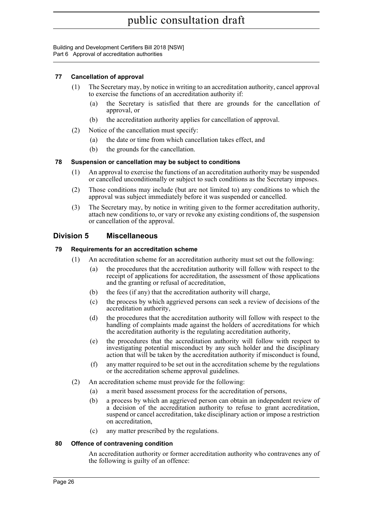### <span id="page-40-0"></span>**77 Cancellation of approval**

- (1) The Secretary may, by notice in writing to an accreditation authority, cancel approval to exercise the functions of an accreditation authority if:
	- (a) the Secretary is satisfied that there are grounds for the cancellation of approval, or
	- (b) the accreditation authority applies for cancellation of approval.
- (2) Notice of the cancellation must specify:
	- (a) the date or time from which cancellation takes effect, and
	- (b) the grounds for the cancellation.

### <span id="page-40-1"></span>**78 Suspension or cancellation may be subject to conditions**

- (1) An approval to exercise the functions of an accreditation authority may be suspended or cancelled unconditionally or subject to such conditions as the Secretary imposes.
- (2) Those conditions may include (but are not limited to) any conditions to which the approval was subject immediately before it was suspended or cancelled.
- (3) The Secretary may, by notice in writing given to the former accreditation authority, attach new conditions to, or vary or revoke any existing conditions of, the suspension or cancellation of the approval.

### <span id="page-40-2"></span>**Division 5 Miscellaneous**

### <span id="page-40-3"></span>**79 Requirements for an accreditation scheme**

- (1) An accreditation scheme for an accreditation authority must set out the following:
	- (a) the procedures that the accreditation authority will follow with respect to the receipt of applications for accreditation, the assessment of those applications and the granting or refusal of accreditation,
	- (b) the fees (if any) that the accreditation authority will charge,
	- (c) the process by which aggrieved persons can seek a review of decisions of the accreditation authority,
	- (d) the procedures that the accreditation authority will follow with respect to the handling of complaints made against the holders of accreditations for which the accreditation authority is the regulating accreditation authority,
	- (e) the procedures that the accreditation authority will follow with respect to investigating potential misconduct by any such holder and the disciplinary action that will be taken by the accreditation authority if misconduct is found,
	- (f) any matter required to be set out in the accreditation scheme by the regulations or the accreditation scheme approval guidelines.
- (2) An accreditation scheme must provide for the following:
	- (a) a merit based assessment process for the accreditation of persons,
	- (b) a process by which an aggrieved person can obtain an independent review of a decision of the accreditation authority to refuse to grant accreditation, suspend or cancel accreditation, take disciplinary action or impose a restriction on accreditation,
	- (c) any matter prescribed by the regulations.

### <span id="page-40-4"></span>**80 Offence of contravening condition**

An accreditation authority or former accreditation authority who contravenes any of the following is guilty of an offence: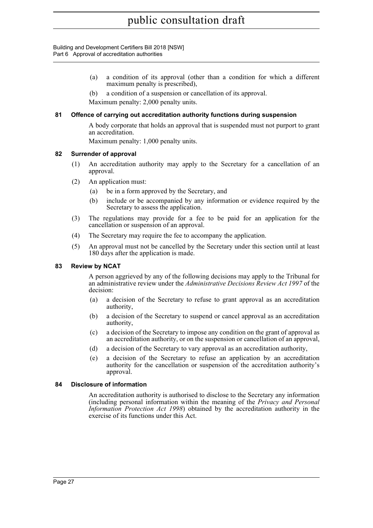- (a) a condition of its approval (other than a condition for which a different maximum penalty is prescribed),
- (b) a condition of a suspension or cancellation of its approval.

Maximum penalty: 2,000 penalty units.

### <span id="page-41-0"></span>**81 Offence of carrying out accreditation authority functions during suspension**

A body corporate that holds an approval that is suspended must not purport to grant an accreditation.

Maximum penalty: 1,000 penalty units.

### <span id="page-41-1"></span>**82 Surrender of approval**

- (1) An accreditation authority may apply to the Secretary for a cancellation of an approval.
- (2) An application must:
	- (a) be in a form approved by the Secretary, and
	- (b) include or be accompanied by any information or evidence required by the Secretary to assess the application.
- (3) The regulations may provide for a fee to be paid for an application for the cancellation or suspension of an approval.
- (4) The Secretary may require the fee to accompany the application.
- (5) An approval must not be cancelled by the Secretary under this section until at least 180 days after the application is made.

### <span id="page-41-2"></span>**83 Review by NCAT**

A person aggrieved by any of the following decisions may apply to the Tribunal for an administrative review under the *Administrative Decisions Review Act 1997* of the decision:

- (a) a decision of the Secretary to refuse to grant approval as an accreditation authority,
- (b) a decision of the Secretary to suspend or cancel approval as an accreditation authority,
- (c) a decision of the Secretary to impose any condition on the grant of approval as an accreditation authority, or on the suspension or cancellation of an approval,
- (d) a decision of the Secretary to vary approval as an accreditation authority,
- (e) a decision of the Secretary to refuse an application by an accreditation authority for the cancellation or suspension of the accreditation authority's approval.

### <span id="page-41-3"></span>**84 Disclosure of information**

An accreditation authority is authorised to disclose to the Secretary any information (including personal information within the meaning of the *Privacy and Personal Information Protection Act 1998*) obtained by the accreditation authority in the exercise of its functions under this Act.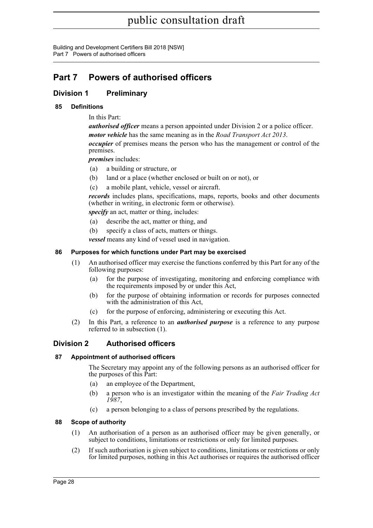Building and Development Certifiers Bill 2018 [NSW] Part 7 Powers of authorised officers

## <span id="page-42-0"></span>**Part 7 Powers of authorised officers**

### <span id="page-42-1"></span>**Division 1 Preliminary**

### <span id="page-42-2"></span>**85 Definitions**

In this Part:

*authorised officer* means a person appointed under Division 2 or a police officer. *motor vehicle* has the same meaning as in the *Road Transport Act 2013*. *occupier* of premises means the person who has the management or control of the premises.

*premises* includes:

- (a) a building or structure, or
- (b) land or a place (whether enclosed or built on or not), or
- (c) a mobile plant, vehicle, vessel or aircraft.

*records* includes plans, specifications, maps, reports, books and other documents (whether in writing, in electronic form or otherwise).

*specify* an act, matter or thing, includes:

- (a) describe the act, matter or thing, and
- (b) specify a class of acts, matters or things.

*vessel* means any kind of vessel used in navigation.

### <span id="page-42-3"></span>**86 Purposes for which functions under Part may be exercised**

- (1) An authorised officer may exercise the functions conferred by this Part for any of the following purposes:
	- (a) for the purpose of investigating, monitoring and enforcing compliance with the requirements imposed by or under this Act,
	- (b) for the purpose of obtaining information or records for purposes connected with the administration of this Act,
	- (c) for the purpose of enforcing, administering or executing this Act.
- (2) In this Part, a reference to an *authorised purpose* is a reference to any purpose referred to in subsection (1).

### <span id="page-42-4"></span>**Division 2 Authorised officers**

### <span id="page-42-5"></span>**87 Appointment of authorised officers**

The Secretary may appoint any of the following persons as an authorised officer for the purposes of this Part:

- (a) an employee of the Department,
- (b) a person who is an investigator within the meaning of the *Fair Trading Act 1987*,
- (c) a person belonging to a class of persons prescribed by the regulations.

### <span id="page-42-6"></span>**88 Scope of authority**

- (1) An authorisation of a person as an authorised officer may be given generally, or subject to conditions, limitations or restrictions or only for limited purposes.
- (2) If such authorisation is given subject to conditions, limitations or restrictions or only for limited purposes, nothing in this Act authorises or requires the authorised officer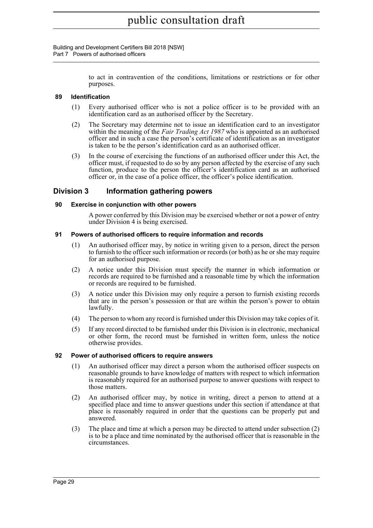Building and Development Certifiers Bill 2018 [NSW] Part 7 Powers of authorised officers

> to act in contravention of the conditions, limitations or restrictions or for other purposes.

### <span id="page-43-0"></span>**89 Identification**

- (1) Every authorised officer who is not a police officer is to be provided with an identification card as an authorised officer by the Secretary.
- (2) The Secretary may determine not to issue an identification card to an investigator within the meaning of the *Fair Trading Act 1987* who is appointed as an authorised officer and in such a case the person's certificate of identification as an investigator is taken to be the person's identification card as an authorised officer.
- (3) In the course of exercising the functions of an authorised officer under this Act, the officer must, if requested to do so by any person affected by the exercise of any such function, produce to the person the officer's identification card as an authorised officer or, in the case of a police officer, the officer's police identification.

### <span id="page-43-1"></span>**Division 3 Information gathering powers**

### <span id="page-43-2"></span>**90 Exercise in conjunction with other powers**

A power conferred by this Division may be exercised whether or not a power of entry under Division 4 is being exercised.

### <span id="page-43-3"></span>**91 Powers of authorised officers to require information and records**

- (1) An authorised officer may, by notice in writing given to a person, direct the person to furnish to the officer such information or records (or both) as he or she may require for an authorised purpose.
- (2) A notice under this Division must specify the manner in which information or records are required to be furnished and a reasonable time by which the information or records are required to be furnished.
- (3) A notice under this Division may only require a person to furnish existing records that are in the person's possession or that are within the person's power to obtain lawfully.
- (4) The person to whom any record is furnished under this Division may take copies of it.
- (5) If any record directed to be furnished under this Division is in electronic, mechanical or other form, the record must be furnished in written form, unless the notice otherwise provides.

### <span id="page-43-4"></span>**92 Power of authorised officers to require answers**

- (1) An authorised officer may direct a person whom the authorised officer suspects on reasonable grounds to have knowledge of matters with respect to which information is reasonably required for an authorised purpose to answer questions with respect to those matters.
- (2) An authorised officer may, by notice in writing, direct a person to attend at a specified place and time to answer questions under this section if attendance at that place is reasonably required in order that the questions can be properly put and answered.
- (3) The place and time at which a person may be directed to attend under subsection (2) is to be a place and time nominated by the authorised officer that is reasonable in the circumstances.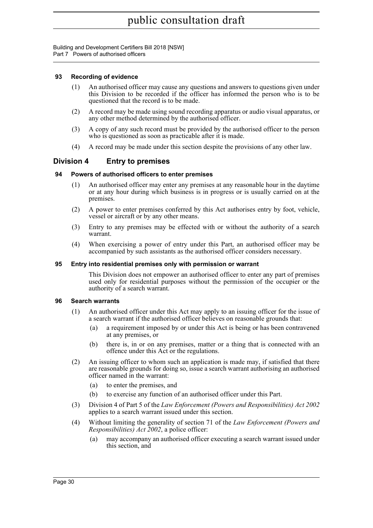Building and Development Certifiers Bill 2018 [NSW] Part 7 Powers of authorised officers

### <span id="page-44-0"></span>**93 Recording of evidence**

- (1) An authorised officer may cause any questions and answers to questions given under this Division to be recorded if the officer has informed the person who is to be questioned that the record is to be made.
- (2) A record may be made using sound recording apparatus or audio visual apparatus, or any other method determined by the authorised officer.
- (3) A copy of any such record must be provided by the authorised officer to the person who is questioned as soon as practicable after it is made.
- (4) A record may be made under this section despite the provisions of any other law.

### <span id="page-44-1"></span>**Division 4 Entry to premises**

### <span id="page-44-2"></span>**94 Powers of authorised officers to enter premises**

- (1) An authorised officer may enter any premises at any reasonable hour in the daytime or at any hour during which business is in progress or is usually carried on at the premises.
- (2) A power to enter premises conferred by this Act authorises entry by foot, vehicle, vessel or aircraft or by any other means.
- (3) Entry to any premises may be effected with or without the authority of a search warrant.
- (4) When exercising a power of entry under this Part, an authorised officer may be accompanied by such assistants as the authorised officer considers necessary.

### <span id="page-44-3"></span>**95 Entry into residential premises only with permission or warrant**

This Division does not empower an authorised officer to enter any part of premises used only for residential purposes without the permission of the occupier or the authority of a search warrant.

### <span id="page-44-4"></span>**96 Search warrants**

- (1) An authorised officer under this Act may apply to an issuing officer for the issue of a search warrant if the authorised officer believes on reasonable grounds that:
	- (a) a requirement imposed by or under this Act is being or has been contravened at any premises, or
	- (b) there is, in or on any premises, matter or a thing that is connected with an offence under this Act or the regulations.
- (2) An issuing officer to whom such an application is made may, if satisfied that there are reasonable grounds for doing so, issue a search warrant authorising an authorised officer named in the warrant:
	- (a) to enter the premises, and
	- (b) to exercise any function of an authorised officer under this Part.
- (3) Division 4 of Part 5 of the *Law Enforcement (Powers and Responsibilities) Act 2002* applies to a search warrant issued under this section.
- (4) Without limiting the generality of section 71 of the *Law Enforcement (Powers and Responsibilities) Act 2002*, a police officer:
	- (a) may accompany an authorised officer executing a search warrant issued under this section, and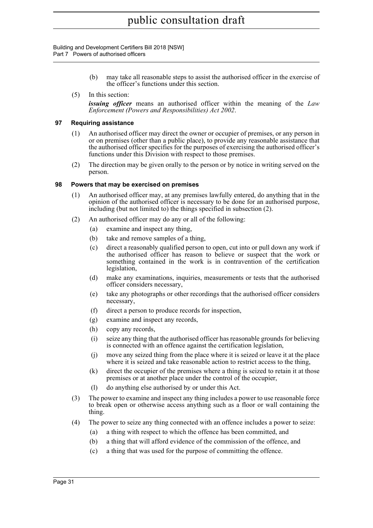Building and Development Certifiers Bill 2018 [NSW] Part 7 Powers of authorised officers

- (b) may take all reasonable steps to assist the authorised officer in the exercise of the officer's functions under this section.
- (5) In this section:

*issuing officer* means an authorised officer within the meaning of the *Law Enforcement (Powers and Responsibilities) Act 2002*.

### <span id="page-45-0"></span>**97 Requiring assistance**

- (1) An authorised officer may direct the owner or occupier of premises, or any person in or on premises (other than a public place), to provide any reasonable assistance that the authorised officer specifies for the purposes of exercising the authorised officer's functions under this Division with respect to those premises.
- (2) The direction may be given orally to the person or by notice in writing served on the person.

### <span id="page-45-1"></span>**98 Powers that may be exercised on premises**

- (1) An authorised officer may, at any premises lawfully entered, do anything that in the opinion of the authorised officer is necessary to be done for an authorised purpose, including (but not limited to) the things specified in subsection (2).
- (2) An authorised officer may do any or all of the following:
	- (a) examine and inspect any thing,
	- (b) take and remove samples of a thing,
	- (c) direct a reasonably qualified person to open, cut into or pull down any work if the authorised officer has reason to believe or suspect that the work or something contained in the work is in contravention of the certification legislation,
	- (d) make any examinations, inquiries, measurements or tests that the authorised officer considers necessary,
	- (e) take any photographs or other recordings that the authorised officer considers necessary,
	- (f) direct a person to produce records for inspection,
	- (g) examine and inspect any records,
	- (h) copy any records,
	- (i) seize any thing that the authorised officer has reasonable grounds for believing is connected with an offence against the certification legislation,
	- (j) move any seized thing from the place where it is seized or leave it at the place where it is seized and take reasonable action to restrict access to the thing,
	- (k) direct the occupier of the premises where a thing is seized to retain it at those premises or at another place under the control of the occupier,
	- (l) do anything else authorised by or under this Act.
- (3) The power to examine and inspect any thing includes a power to use reasonable force to break open or otherwise access anything such as a floor or wall containing the thing.
- (4) The power to seize any thing connected with an offence includes a power to seize:
	- (a) a thing with respect to which the offence has been committed, and
	- (b) a thing that will afford evidence of the commission of the offence, and
	- (c) a thing that was used for the purpose of committing the offence.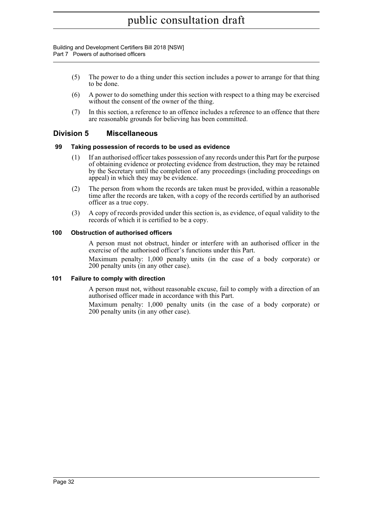Building and Development Certifiers Bill 2018 [NSW] Part 7 Powers of authorised officers

- (5) The power to do a thing under this section includes a power to arrange for that thing to be done.
- (6) A power to do something under this section with respect to a thing may be exercised without the consent of the owner of the thing.
- (7) In this section, a reference to an offence includes a reference to an offence that there are reasonable grounds for believing has been committed.

### <span id="page-46-0"></span>**Division 5 Miscellaneous**

### <span id="page-46-1"></span>**99 Taking possession of records to be used as evidence**

- (1) If an authorised officer takes possession of any records under this Part for the purpose of obtaining evidence or protecting evidence from destruction, they may be retained by the Secretary until the completion of any proceedings (including proceedings on appeal) in which they may be evidence.
- (2) The person from whom the records are taken must be provided, within a reasonable time after the records are taken, with a copy of the records certified by an authorised officer as a true copy.
- (3) A copy of records provided under this section is, as evidence, of equal validity to the records of which it is certified to be a copy.

#### <span id="page-46-2"></span>**100 Obstruction of authorised officers**

A person must not obstruct, hinder or interfere with an authorised officer in the exercise of the authorised officer's functions under this Part.

Maximum penalty: 1,000 penalty units (in the case of a body corporate) or 200 penalty units (in any other case).

### <span id="page-46-3"></span>**101 Failure to comply with direction**

A person must not, without reasonable excuse, fail to comply with a direction of an authorised officer made in accordance with this Part.

Maximum penalty: 1,000 penalty units (in the case of a body corporate) or 200 penalty units (in any other case).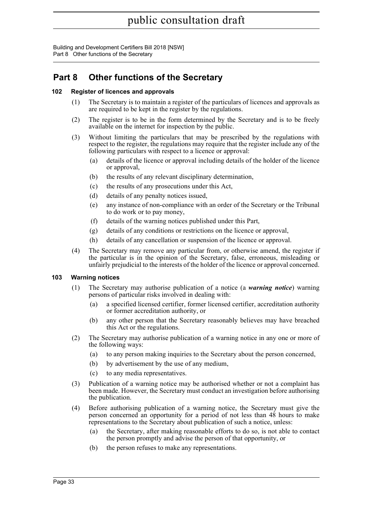Building and Development Certifiers Bill 2018 [NSW] Part 8 Other functions of the Secretary

## <span id="page-47-0"></span>**Part 8 Other functions of the Secretary**

### <span id="page-47-1"></span>**102 Register of licences and approvals**

- (1) The Secretary is to maintain a register of the particulars of licences and approvals as are required to be kept in the register by the regulations.
- (2) The register is to be in the form determined by the Secretary and is to be freely available on the internet for inspection by the public.
- (3) Without limiting the particulars that may be prescribed by the regulations with respect to the register, the regulations may require that the register include any of the following particulars with respect to a licence or approval:
	- (a) details of the licence or approval including details of the holder of the licence or approval,
	- (b) the results of any relevant disciplinary determination,
	- (c) the results of any prosecutions under this Act,
	- (d) details of any penalty notices issued,
	- (e) any instance of non-compliance with an order of the Secretary or the Tribunal to do work or to pay money,
	- (f) details of the warning notices published under this Part,
	- (g) details of any conditions or restrictions on the licence or approval,
	- (h) details of any cancellation or suspension of the licence or approval.
- (4) The Secretary may remove any particular from, or otherwise amend, the register if the particular is in the opinion of the Secretary, false, erroneous, misleading or unfairly prejudicial to the interests of the holder of the licence or approval concerned.

### <span id="page-47-2"></span>**103 Warning notices**

- (1) The Secretary may authorise publication of a notice (a *warning notice*) warning persons of particular risks involved in dealing with:
	- (a) a specified licensed certifier, former licensed certifier, accreditation authority or former accreditation authority, or
	- (b) any other person that the Secretary reasonably believes may have breached this Act or the regulations.
- (2) The Secretary may authorise publication of a warning notice in any one or more of the following ways:
	- (a) to any person making inquiries to the Secretary about the person concerned,
	- (b) by advertisement by the use of any medium,
	- (c) to any media representatives.
- (3) Publication of a warning notice may be authorised whether or not a complaint has been made. However, the Secretary must conduct an investigation before authorising the publication.
- (4) Before authorising publication of a warning notice, the Secretary must give the person concerned an opportunity for a period of not less than 48 hours to make representations to the Secretary about publication of such a notice, unless:
	- (a) the Secretary, after making reasonable efforts to do so, is not able to contact the person promptly and advise the person of that opportunity, or
	- (b) the person refuses to make any representations.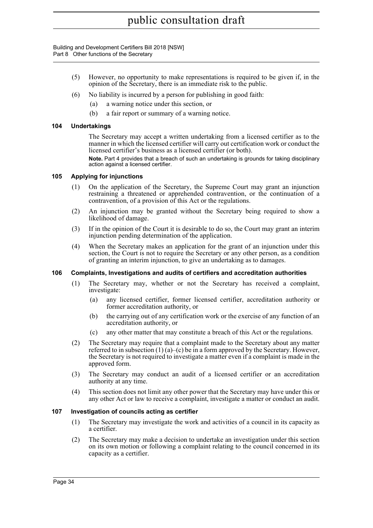Building and Development Certifiers Bill 2018 [NSW] Part 8 Other functions of the Secretary

- (5) However, no opportunity to make representations is required to be given if, in the opinion of the Secretary, there is an immediate risk to the public.
- $(6)$  No liability is incurred by a person for publishing in good faith:
	- (a) a warning notice under this section, or
	- (b) a fair report or summary of a warning notice.

### <span id="page-48-0"></span>**104 Undertakings**

The Secretary may accept a written undertaking from a licensed certifier as to the manner in which the licensed certifier will carry out certification work or conduct the licensed certifier's business as a licensed certifier (or both).

**Note.** Part 4 provides that a breach of such an undertaking is grounds for taking disciplinary action against a licensed certifier.

### <span id="page-48-1"></span>**105 Applying for injunctions**

- (1) On the application of the Secretary, the Supreme Court may grant an injunction restraining a threatened or apprehended contravention, or the continuation of a contravention, of a provision of this Act or the regulations.
- (2) An injunction may be granted without the Secretary being required to show a likelihood of damage.
- (3) If in the opinion of the Court it is desirable to do so, the Court may grant an interim injunction pending determination of the application.
- (4) When the Secretary makes an application for the grant of an injunction under this section, the Court is not to require the Secretary or any other person, as a condition of granting an interim injunction, to give an undertaking as to damages.

### <span id="page-48-2"></span>**106 Complaints, Investigations and audits of certifiers and accreditation authorities**

- (1) The Secretary may, whether or not the Secretary has received a complaint, investigate:
	- (a) any licensed certifier, former licensed certifier, accreditation authority or former accreditation authority, or
	- (b) the carrying out of any certification work or the exercise of any function of an accreditation authority, or
	- (c) any other matter that may constitute a breach of this Act or the regulations.
- (2) The Secretary may require that a complaint made to the Secretary about any matter referred to in subsection  $(1)(a)$ –(c) be in a form approved by the Secretary. However, the Secretary is not required to investigate a matter even if a complaint is made in the approved form.
- (3) The Secretary may conduct an audit of a licensed certifier or an accreditation authority at any time.
- (4) This section does not limit any other power that the Secretary may have under this or any other Act or law to receive a complaint, investigate a matter or conduct an audit.

### <span id="page-48-3"></span>**107 Investigation of councils acting as certifier**

- (1) The Secretary may investigate the work and activities of a council in its capacity as a certifier.
- (2) The Secretary may make a decision to undertake an investigation under this section on its own motion or following a complaint relating to the council concerned in its capacity as a certifier.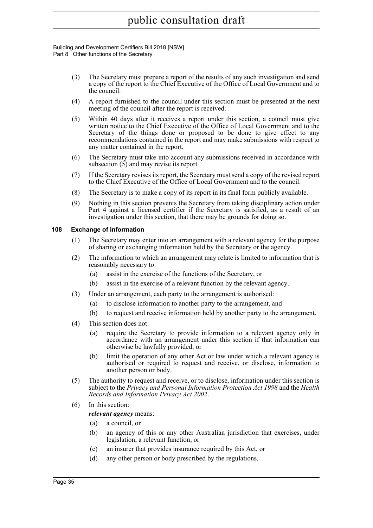Building and Development Certifiers Bill 2018 [NSW] Part 8 Other functions of the Secretary

- (3) The Secretary must prepare a report of the results of any such investigation and send a copy of the report to the Chief Executive of the Office of Local Government and to the council.
- (4) A report furnished to the council under this section must be presented at the next meeting of the council after the report is received.
- (5) Within 40 days after it receives a report under this section, a council must give written notice to the Chief Executive of the Office of Local Government and to the Secretary of the things done or proposed to be done to give effect to any recommendations contained in the report and may make submissions with respect to any matter contained in the report.
- (6) The Secretary must take into account any submissions received in accordance with subsection  $(5)$  and may revise its report.
- (7) If the Secretary revises its report, the Secretary must send a copy of the revised report to the Chief Executive of the Office of Local Government and to the council.
- (8) The Secretary is to make a copy of its report in its final form publicly available.
- (9) Nothing in this section prevents the Secretary from taking disciplinary action under Part 4 against a licensed certifier if the Secretary is satisfied, as a result of an investigation under this section, that there may be grounds for doing so.

### <span id="page-49-0"></span>**108 Exchange of information**

- (1) The Secretary may enter into an arrangement with a relevant agency for the purpose of sharing or exchanging information held by the Secretary or the agency.
- (2) The information to which an arrangement may relate is limited to information that is reasonably necessary to:
	- (a) assist in the exercise of the functions of the Secretary, or
	- (b) assist in the exercise of a relevant function by the relevant agency.
- (3) Under an arrangement, each party to the arrangement is authorised:
	- (a) to disclose information to another party to the arrangement, and
	- (b) to request and receive information held by another party to the arrangement.
- (4) This section does not:
	- (a) require the Secretary to provide information to a relevant agency only in accordance with an arrangement under this section if that information can otherwise be lawfully provided, or
	- (b) limit the operation of any other Act or law under which a relevant agency is authorised or required to request and receive, or disclose, information to another person or body.
- (5) The authority to request and receive, or to disclose, information under this section is subject to the *Privacy and Personal Information Protection Act 1998* and the *Health Records and Information Privacy Act 2002*.
- (6) In this section:

### *relevant agency* means:

- (a) a council, or
- (b) an agency of this or any other Australian jurisdiction that exercises, under legislation, a relevant function, or
- (c) an insurer that provides insurance required by this Act, or
- (d) any other person or body prescribed by the regulations.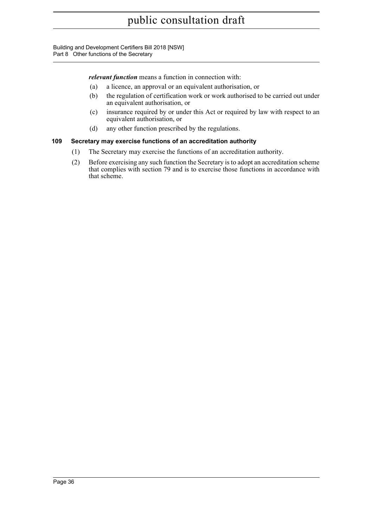Building and Development Certifiers Bill 2018 [NSW] Part 8 Other functions of the Secretary

*relevant function* means a function in connection with:

- (a) a licence, an approval or an equivalent authorisation, or
- (b) the regulation of certification work or work authorised to be carried out under an equivalent authorisation, or
- (c) insurance required by or under this Act or required by law with respect to an equivalent authorisation, or
- (d) any other function prescribed by the regulations.

### <span id="page-50-0"></span>**109 Secretary may exercise functions of an accreditation authority**

- (1) The Secretary may exercise the functions of an accreditation authority.
- (2) Before exercising any such function the Secretary is to adopt an accreditation scheme that complies with section 79 and is to exercise those functions in accordance with that scheme.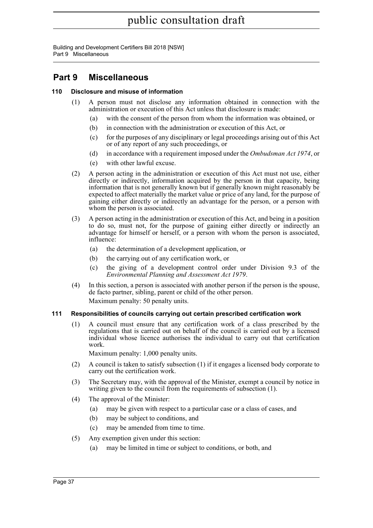Building and Development Certifiers Bill 2018 [NSW] Part 9 Miscellaneous

## <span id="page-51-0"></span>**Part 9 Miscellaneous**

### <span id="page-51-1"></span>**110 Disclosure and misuse of information**

- (1) A person must not disclose any information obtained in connection with the administration or execution of this Act unless that disclosure is made:
	- (a) with the consent of the person from whom the information was obtained, or
	- (b) in connection with the administration or execution of this Act, or
	- (c) for the purposes of any disciplinary or legal proceedings arising out of this Act or of any report of any such proceedings, or
	- (d) in accordance with a requirement imposed under the *Ombudsman Act 1974*, or
	- (e) with other lawful excuse.
- (2) A person acting in the administration or execution of this Act must not use, either directly or indirectly, information acquired by the person in that capacity, being information that is not generally known but if generally known might reasonably be expected to affect materially the market value or price of any land, for the purpose of gaining either directly or indirectly an advantage for the person, or a person with whom the person is associated.
- (3) A person acting in the administration or execution of this Act, and being in a position to do so, must not, for the purpose of gaining either directly or indirectly an advantage for himself or herself, or a person with whom the person is associated, influence:
	- (a) the determination of a development application, or
	- (b) the carrying out of any certification work, or
	- (c) the giving of a development control order under Division 9.3 of the *Environmental Planning and Assessment Act 1979*.
- (4) In this section, a person is associated with another person if the person is the spouse, de facto partner, sibling, parent or child of the other person. Maximum penalty: 50 penalty units.

### <span id="page-51-2"></span>**111 Responsibilities of councils carrying out certain prescribed certification work**

(1) A council must ensure that any certification work of a class prescribed by the regulations that is carried out on behalf of the council is carried out by a licensed individual whose licence authorises the individual to carry out that certification work.

Maximum penalty: 1,000 penalty units.

- (2) A council is taken to satisfy subsection (1) if it engages a licensed body corporate to carry out the certification work.
- (3) The Secretary may, with the approval of the Minister, exempt a council by notice in writing given to the council from the requirements of subsection (1).
- (4) The approval of the Minister:
	- (a) may be given with respect to a particular case or a class of cases, and
	- (b) may be subject to conditions, and
	- (c) may be amended from time to time.
- (5) Any exemption given under this section:
	- (a) may be limited in time or subject to conditions, or both, and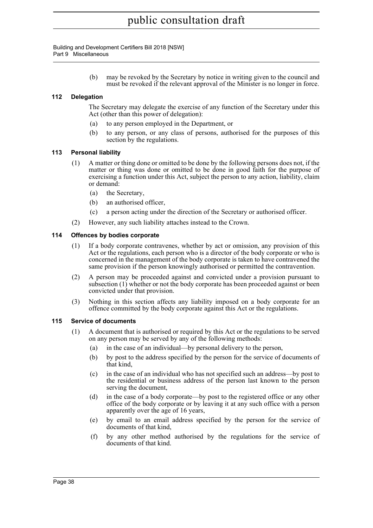Building and Development Certifiers Bill 2018 [NSW] Part 9 Miscellaneous

> (b) may be revoked by the Secretary by notice in writing given to the council and must be revoked if the relevant approval of the Minister is no longer in force.

### <span id="page-52-0"></span>**112 Delegation**

The Secretary may delegate the exercise of any function of the Secretary under this Act (other than this power of delegation):

- (a) to any person employed in the Department, or
- (b) to any person, or any class of persons, authorised for the purposes of this section by the regulations.

### <span id="page-52-1"></span>**113 Personal liability**

- (1) A matter or thing done or omitted to be done by the following persons does not, if the matter or thing was done or omitted to be done in good faith for the purpose of exercising a function under this Act, subject the person to any action, liability, claim or demand:
	- (a) the Secretary,
	- (b) an authorised officer,
	- (c) a person acting under the direction of the Secretary or authorised officer.
- (2) However, any such liability attaches instead to the Crown.

### <span id="page-52-2"></span>**114 Offences by bodies corporate**

- (1) If a body corporate contravenes, whether by act or omission, any provision of this Act or the regulations, each person who is a director of the body corporate or who is concerned in the management of the body corporate is taken to have contravened the same provision if the person knowingly authorised or permitted the contravention.
- (2) A person may be proceeded against and convicted under a provision pursuant to subsection (1) whether or not the body corporate has been proceeded against or been convicted under that provision.
- (3) Nothing in this section affects any liability imposed on a body corporate for an offence committed by the body corporate against this Act or the regulations.

### <span id="page-52-3"></span>**115 Service of documents**

- (1) A document that is authorised or required by this Act or the regulations to be served on any person may be served by any of the following methods:
	- (a) in the case of an individual—by personal delivery to the person,
	- (b) by post to the address specified by the person for the service of documents of that kind,
	- (c) in the case of an individual who has not specified such an address—by post to the residential or business address of the person last known to the person serving the document,
	- (d) in the case of a body corporate—by post to the registered office or any other office of the body corporate or by leaving it at any such office with a person apparently over the age of 16 years,
	- (e) by email to an email address specified by the person for the service of documents of that kind,
	- (f) by any other method authorised by the regulations for the service of documents of that kind.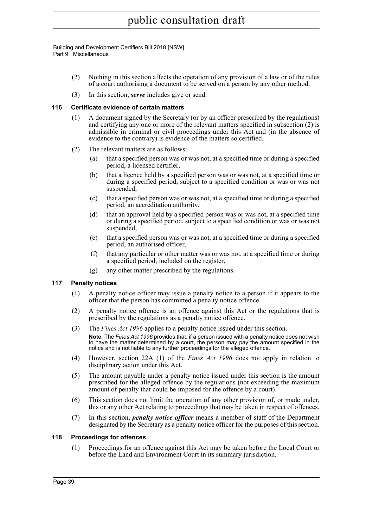Building and Development Certifiers Bill 2018 [NSW] Part 9 Miscellaneous

- (2) Nothing in this section affects the operation of any provision of a law or of the rules of a court authorising a document to be served on a person by any other method.
- (3) In this section, *serve* includes give or send.

### <span id="page-53-0"></span>**116 Certificate evidence of certain matters**

- (1) A document signed by the Secretary (or by an officer prescribed by the regulations) and certifying any one or more of the relevant matters specified in subsection (2) is admissible in criminal or civil proceedings under this Act and (in the absence of evidence to the contrary) is evidence of the matters so certified.
- (2) The relevant matters are as follows:
	- (a) that a specified person was or was not, at a specified time or during a specified period, a licensed certifier,
	- (b) that a licence held by a specified person was or was not, at a specified time or during a specified period, subject to a specified condition or was or was not suspended,
	- (c) that a specified person was or was not, at a specified time or during a specified period, an accreditation authority,
	- (d) that an approval held by a specified person was or was not, at a specified time or during a specified period, subject to a specified condition or was or was not suspended,
	- (e) that a specified person was or was not, at a specified time or during a specified period, an authorised officer,
	- (f) that any particular or other matter was or was not, at a specified time or during a specified period, included on the register,
	- (g) any other matter prescribed by the regulations.

### <span id="page-53-1"></span>**117 Penalty notices**

- (1) A penalty notice officer may issue a penalty notice to a person if it appears to the officer that the person has committed a penalty notice offence.
- (2) A penalty notice offence is an offence against this Act or the regulations that is prescribed by the regulations as a penalty notice offence.
- (3) The *Fines Act 1996* applies to a penalty notice issued under this section. **Note.** The *Fines Act 1996* provides that, if a person issued with a penalty notice does not wish to have the matter determined by a court, the person may pay the amount specified in the notice and is not liable to any further proceedings for the alleged offence.
- (4) However, section 22A (1) of the *Fines Act 1996* does not apply in relation to disciplinary action under this Act.
- (5) The amount payable under a penalty notice issued under this section is the amount prescribed for the alleged offence by the regulations (not exceeding the maximum amount of penalty that could be imposed for the offence by a court).
- (6) This section does not limit the operation of any other provision of, or made under, this or any other Act relating to proceedings that may be taken in respect of offences.
- (7) In this section, *penalty notice officer* means a member of staff of the Department designated by the Secretary as a penalty notice officer for the purposes of this section.

### <span id="page-53-2"></span>**118 Proceedings for offences**

(1) Proceedings for an offence against this Act may be taken before the Local Court or before the Land and Environment Court in its summary jurisdiction.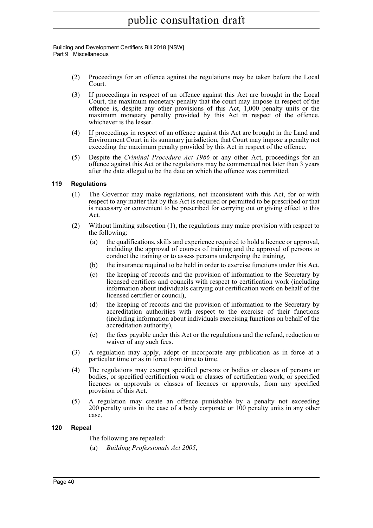Building and Development Certifiers Bill 2018 [NSW] Part 9 Miscellaneous

- (2) Proceedings for an offence against the regulations may be taken before the Local Court.
- (3) If proceedings in respect of an offence against this Act are brought in the Local Court, the maximum monetary penalty that the court may impose in respect of the offence is, despite any other provisions of this Act, 1,000 penalty units or the maximum monetary penalty provided by this Act in respect of the offence, whichever is the lesser.
- (4) If proceedings in respect of an offence against this Act are brought in the Land and Environment Court in its summary jurisdiction, that Court may impose a penalty not exceeding the maximum penalty provided by this Act in respect of the offence.
- (5) Despite the *Criminal Procedure Act 1986* or any other Act, proceedings for an offence against this Act or the regulations may be commenced not later than 3 years after the date alleged to be the date on which the offence was committed.

### <span id="page-54-0"></span>**119 Regulations**

- (1) The Governor may make regulations, not inconsistent with this Act, for or with respect to any matter that by this Act is required or permitted to be prescribed or that is necessary or convenient to be prescribed for carrying out or giving effect to this Act.
- (2) Without limiting subsection (1), the regulations may make provision with respect to the following:
	- (a) the qualifications, skills and experience required to hold a licence or approval, including the approval of courses of training and the approval of persons to conduct the training or to assess persons undergoing the training,
	- (b) the insurance required to be held in order to exercise functions under this Act,
	- (c) the keeping of records and the provision of information to the Secretary by licensed certifiers and councils with respect to certification work (including information about individuals carrying out certification work on behalf of the licensed certifier or council),
	- (d) the keeping of records and the provision of information to the Secretary by accreditation authorities with respect to the exercise of their functions (including information about individuals exercising functions on behalf of the accreditation authority),
	- (e) the fees payable under this Act or the regulations and the refund, reduction or waiver of any such fees.
- (3) A regulation may apply, adopt or incorporate any publication as in force at a particular time or as in force from time to time.
- (4) The regulations may exempt specified persons or bodies or classes of persons or bodies, or specified certification work or classes of certification work, or specified licences or approvals or classes of licences or approvals, from any specified provision of this Act.
- (5) A regulation may create an offence punishable by a penalty not exceeding 200 penalty units in the case of a body corporate or 100 penalty units in any other case.

### <span id="page-54-1"></span>**120 Repeal**

- The following are repealed:
- (a) *Building Professionals Act 2005*,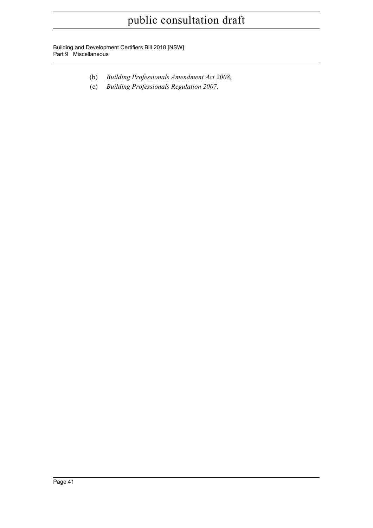Building and Development Certifiers Bill 2018 [NSW] Part 9 Miscellaneous

- (b) *Building Professionals Amendment Act 2008*,
- (c) *Building Professionals Regulation 2007*.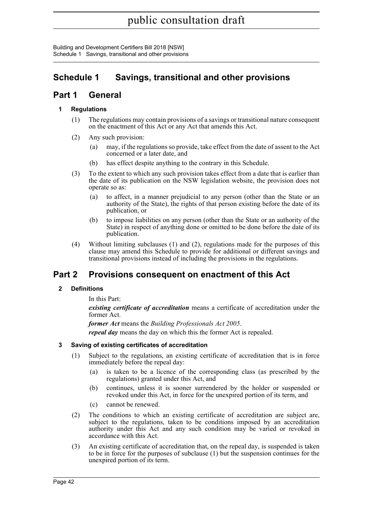Building and Development Certifiers Bill 2018 [NSW] Schedule 1 Savings, transitional and other provisions

## <span id="page-56-0"></span>**Schedule 1 Savings, transitional and other provisions**

### **Part 1 General**

### **1 Regulations**

- (1) The regulations may contain provisions of a savings or transitional nature consequent on the enactment of this Act or any Act that amends this Act.
- (2) Any such provision:
	- (a) may, if the regulations so provide, take effect from the date of assent to the Act concerned or a later date, and
	- (b) has effect despite anything to the contrary in this Schedule.
- (3) To the extent to which any such provision takes effect from a date that is earlier than the date of its publication on the NSW legislation website, the provision does not operate so as:
	- (a) to affect, in a manner prejudicial to any person (other than the State or an authority of the State), the rights of that person existing before the date of its publication, or
	- (b) to impose liabilities on any person (other than the State or an authority of the State) in respect of anything done or omitted to be done before the date of its publication.
- (4) Without limiting subclauses (1) and (2), regulations made for the purposes of this clause may amend this Schedule to provide for additional or different savings and transitional provisions instead of including the provisions in the regulations.

## **Part 2 Provisions consequent on enactment of this Act**

### **2 Definitions**

In this Part:

*existing certificate of accreditation* means a certificate of accreditation under the former Act.

*former Act* means the *Building Professionals Act 2005*. *repeal day* means the day on which this the former Act is repealed.

### **3 Saving of existing certificates of accreditation**

- (1) Subject to the regulations, an existing certificate of accreditation that is in force immediately before the repeal day:
	- (a) is taken to be a licence of the corresponding class (as prescribed by the regulations) granted under this Act, and
	- (b) continues, unless it is sooner surrendered by the holder or suspended or revoked under this Act, in force for the unexpired portion of its term, and
	- (c) cannot be renewed.
- (2) The conditions to which an existing certificate of accreditation are subject are, subject to the regulations, taken to be conditions imposed by an accreditation authority under this Act and any such condition may be varied or revoked in accordance with this Act.
- (3) An existing certificate of accreditation that, on the repeal day, is suspended is taken to be in force for the purposes of subclause (1) but the suspension continues for the unexpired portion of its term.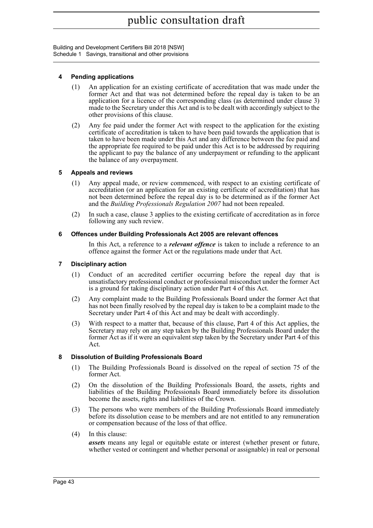Building and Development Certifiers Bill 2018 [NSW] Schedule 1 Savings, transitional and other provisions

### **4 Pending applications**

- (1) An application for an existing certificate of accreditation that was made under the former Act and that was not determined before the repeal day is taken to be an application for a licence of the corresponding class (as determined under clause 3) made to the Secretary under this Act and is to be dealt with accordingly subject to the other provisions of this clause.
- (2) Any fee paid under the former Act with respect to the application for the existing certificate of accreditation is taken to have been paid towards the application that is taken to have been made under this Act and any difference between the fee paid and the appropriate fee required to be paid under this Act is to be addressed by requiring the applicant to pay the balance of any underpayment or refunding to the applicant the balance of any overpayment.

### **5 Appeals and reviews**

- (1) Any appeal made, or review commenced, with respect to an existing certificate of accreditation (or an application for an existing certificate of accreditation) that has not been determined before the repeal day is to be determined as if the former Act and the *Building Professionals Regulation 2007* had not been repealed.
- (2) In such a case, clause 3 applies to the existing certificate of accreditation as in force following any such review.

### **6 Offences under Building Professionals Act 2005 are relevant offences**

In this Act, a reference to a *relevant offence* is taken to include a reference to an offence against the former Act or the regulations made under that Act.

### **7 Disciplinary action**

- (1) Conduct of an accredited certifier occurring before the repeal day that is unsatisfactory professional conduct or professional misconduct under the former Act is a ground for taking disciplinary action under Part 4 of this Act.
- (2) Any complaint made to the Building Professionals Board under the former Act that has not been finally resolved by the repeal day is taken to be a complaint made to the Secretary under Part 4 of this Act and may be dealt with accordingly.
- (3) With respect to a matter that, because of this clause, Part 4 of this Act applies, the Secretary may rely on any step taken by the Building Professionals Board under the former Act as if it were an equivalent step taken by the Secretary under Part 4 of this Act.

### **8 Dissolution of Building Professionals Board**

- (1) The Building Professionals Board is dissolved on the repeal of section 75 of the former Act.
- (2) On the dissolution of the Building Professionals Board, the assets, rights and liabilities of the Building Professionals Board immediately before its dissolution become the assets, rights and liabilities of the Crown.
- (3) The persons who were members of the Building Professionals Board immediately before its dissolution cease to be members and are not entitled to any remuneration or compensation because of the loss of that office.
- (4) In this clause:

*assets* means any legal or equitable estate or interest (whether present or future, whether vested or contingent and whether personal or assignable) in real or personal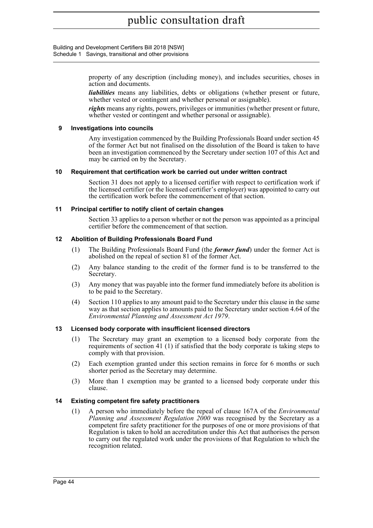Building and Development Certifiers Bill 2018 [NSW] Schedule 1 Savings, transitional and other provisions

> property of any description (including money), and includes securities, choses in action and documents.

> *liabilities* means any liabilities, debts or obligations (whether present or future, whether vested or contingent and whether personal or assignable).

> *rights* means any rights, powers, privileges or immunities (whether present or future, whether vested or contingent and whether personal or assignable).

### **9 Investigations into councils**

Any investigation commenced by the Building Professionals Board under section 45 of the former Act but not finalised on the dissolution of the Board is taken to have been an investigation commenced by the Secretary under section 107 of this Act and may be carried on by the Secretary.

### **10 Requirement that certification work be carried out under written contract**

Section 31 does not apply to a licensed certifier with respect to certification work if the licensed certifier (or the licensed certifier's employer) was appointed to carry out the certification work before the commencement of that section.

### **11 Principal certifier to notify client of certain changes**

Section 33 applies to a person whether or not the person was appointed as a principal certifier before the commencement of that section.

### **12 Abolition of Building Professionals Board Fund**

- (1) The Building Professionals Board Fund (the *former fund*) under the former Act is abolished on the repeal of section 81 of the former Act.
- (2) Any balance standing to the credit of the former fund is to be transferred to the Secretary.
- (3) Any money that was payable into the former fund immediately before its abolition is to be paid to the Secretary.
- (4) Section 110 applies to any amount paid to the Secretary under this clause in the same way as that section applies to amounts paid to the Secretary under section 4.64 of the *Environmental Planning and Assessment Act 1979*.

### **13 Licensed body corporate with insufficient licensed directors**

- (1) The Secretary may grant an exemption to a licensed body corporate from the requirements of section 41 (1) if satisfied that the body corporate is taking steps to comply with that provision.
- (2) Each exemption granted under this section remains in force for 6 months or such shorter period as the Secretary may determine.
- (3) More than 1 exemption may be granted to a licensed body corporate under this clause.

### **14 Existing competent fire safety practitioners**

(1) A person who immediately before the repeal of clause 167A of the *Environmental Planning and Assessment Regulation 2000* was recognised by the Secretary as a competent fire safety practitioner for the purposes of one or more provisions of that Regulation is taken to hold an accreditation under this Act that authorises the person to carry out the regulated work under the provisions of that Regulation to which the recognition related.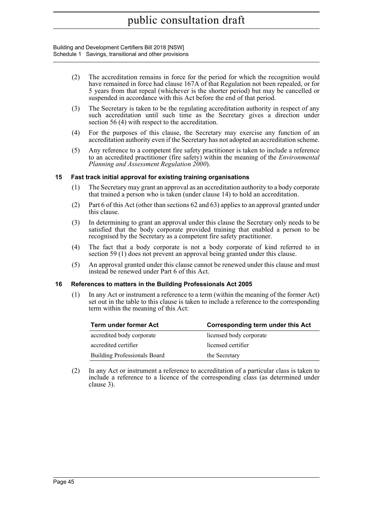#### Building and Development Certifiers Bill 2018 [NSW] Schedule 1 Savings, transitional and other provisions

- (2) The accreditation remains in force for the period for which the recognition would have remained in force had clause 167A of that Regulation not been repealed, or for 5 years from that repeal (whichever is the shorter period) but may be cancelled or suspended in accordance with this Act before the end of that period.
- (3) The Secretary is taken to be the regulating accreditation authority in respect of any such accreditation until such time as the Secretary gives a direction under section 56 (4) with respect to the accreditation.
- (4) For the purposes of this clause, the Secretary may exercise any function of an accreditation authority even if the Secretary has not adopted an accreditation scheme.
- (5) Any reference to a competent fire safety practitioner is taken to include a reference to an accredited practitioner (fire safety) within the meaning of the *Environmental Planning and Assessment Regulation 2000*).

### **15 Fast track initial approval for existing training organisations**

- (1) The Secretary may grant an approval as an accreditation authority to a body corporate that trained a person who is taken (under clause 14) to hold an accreditation.
- (2) Part 6 of this Act (other than sections 62 and 63) applies to an approval granted under this clause.
- (3) In determining to grant an approval under this clause the Secretary only needs to be satisfied that the body corporate provided training that enabled a person to be recognised by the Secretary as a competent fire safety practitioner.
- (4) The fact that a body corporate is not a body corporate of kind referred to in section 59 (1) does not prevent an approval being granted under this clause.
- (5) An approval granted under this clause cannot be renewed under this clause and must instead be renewed under Part 6 of this Act.

#### **16 References to matters in the Building Professionals Act 2005**

(1) In any Act or instrument a reference to a term (within the meaning of the former Act) set out in the table to this clause is taken to include a reference to the corresponding term within the meaning of this Act:

| Term under former Act               | Corresponding term under this Act |
|-------------------------------------|-----------------------------------|
| accredited body corporate           | licensed body corporate           |
| accredited certifier                | licensed certifier                |
| <b>Building Professionals Board</b> | the Secretary                     |

(2) In any Act or instrument a reference to accreditation of a particular class is taken to include a reference to a licence of the corresponding class (as determined under clause 3).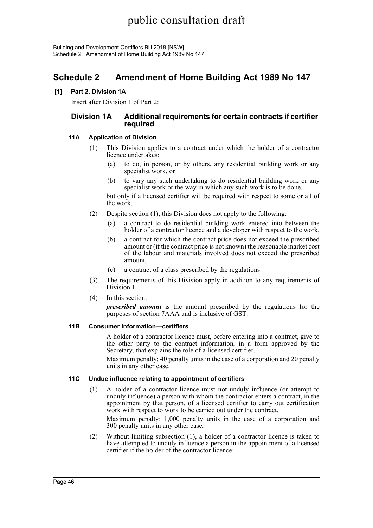Building and Development Certifiers Bill 2018 [NSW] Schedule 2 Amendment of Home Building Act 1989 No 147

### <span id="page-60-0"></span>**Schedule 2 Amendment of Home Building Act 1989 No 147**

### **[1] Part 2, Division 1A**

Insert after Division 1 of Part 2:

### **Division 1A Additional requirements for certain contracts if certifier required**

### **11A Application of Division**

- (1) This Division applies to a contract under which the holder of a contractor licence undertakes:
	- (a) to do, in person, or by others, any residential building work or any specialist work, or
	- (b) to vary any such undertaking to do residential building work or any specialist work or the way in which any such work is to be done,

but only if a licensed certifier will be required with respect to some or all of the work.

- (2) Despite section (1), this Division does not apply to the following:
	- (a) a contract to do residential building work entered into between the holder of a contractor licence and a developer with respect to the work,
	- (b) a contract for which the contract price does not exceed the prescribed amount or (if the contract price is not known) the reasonable market cost of the labour and materials involved does not exceed the prescribed amount,
	- (c) a contract of a class prescribed by the regulations.
- (3) The requirements of this Division apply in addition to any requirements of Division 1.
- (4) In this section:

*prescribed amount* is the amount prescribed by the regulations for the purposes of section 7AAA and is inclusive of GST.

### **11B Consumer information—certifiers**

A holder of a contractor licence must, before entering into a contract, give to the other party to the contract information, in a form approved by the Secretary, that explains the role of a licensed certifier.

Maximum penalty: 40 penalty units in the case of a corporation and 20 penalty units in any other case.

### **11C Undue influence relating to appointment of certifiers**

(1) A holder of a contractor licence must not unduly influence (or attempt to unduly influence) a person with whom the contractor enters a contract, in the appointment by that person, of a licensed certifier to carry out certification work with respect to work to be carried out under the contract.

Maximum penalty: 1,000 penalty units in the case of a corporation and 300 penalty units in any other case.

(2) Without limiting subsection (1), a holder of a contractor licence is taken to have attempted to unduly influence a person in the appointment of a licensed certifier if the holder of the contractor licence: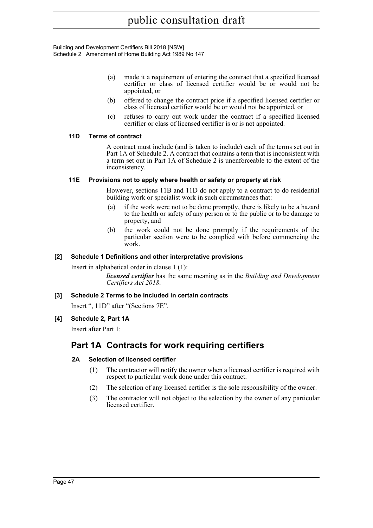Building and Development Certifiers Bill 2018 [NSW] Schedule 2 Amendment of Home Building Act 1989 No 147

- (a) made it a requirement of entering the contract that a specified licensed certifier or class of licensed certifier would be or would not be appointed, or
- (b) offered to change the contract price if a specified licensed certifier or class of licensed certifier would be or would not be appointed, or
- (c) refuses to carry out work under the contract if a specified licensed certifier or class of licensed certifier is or is not appointed.

### **11D Terms of contract**

A contract must include (and is taken to include) each of the terms set out in Part 1A of Schedule 2. A contract that contains a term that is inconsistent with a term set out in Part 1A of Schedule 2 is unenforceable to the extent of the inconsistency.

### **11E Provisions not to apply where health or safety or property at risk**

However, sections 11B and 11D do not apply to a contract to do residential building work or specialist work in such circumstances that:

- (a) if the work were not to be done promptly, there is likely to be a hazard to the health or safety of any person or to the public or to be damage to property, and
- (b) the work could not be done promptly if the requirements of the particular section were to be complied with before commencing the work.

### **[2] Schedule 1 Definitions and other interpretative provisions**

Insert in alphabetical order in clause 1 (1):

*licensed certifier* has the same meaning as in the *Building and Development Certifiers Act 2018*.

### **[3] Schedule 2 Terms to be included in certain contracts**

Insert ", 11D" after "(Sections 7E".

### **[4] Schedule 2, Part 1A**

Insert after Part 1:

## **Part 1A Contracts for work requiring certifiers**

### **2A Selection of licensed certifier**

- (1) The contractor will notify the owner when a licensed certifier is required with respect to particular work done under this contract.
- (2) The selection of any licensed certifier is the sole responsibility of the owner.
- (3) The contractor will not object to the selection by the owner of any particular licensed certifier.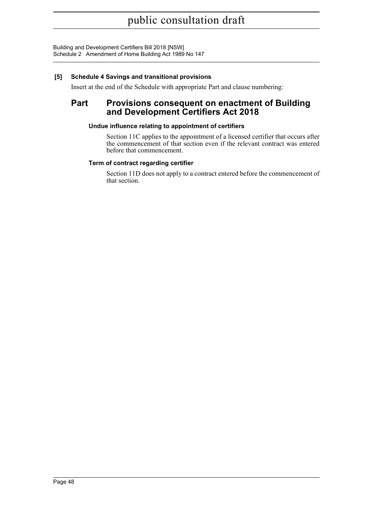Building and Development Certifiers Bill 2018 [NSW] Schedule 2 Amendment of Home Building Act 1989 No 147

### **[5] Schedule 4 Savings and transitional provisions**

Insert at the end of the Schedule with appropriate Part and clause numbering:

### **Part Provisions consequent on enactment of Building and Development Certifiers Act 2018**

### **Undue influence relating to appointment of certifiers**

Section 11C applies to the appointment of a licensed certifier that occurs after the commencement of that section even if the relevant contract was entered before that commencement.

### **Term of contract regarding certifier**

Section 11D does not apply to a contract entered before the commencement of that section.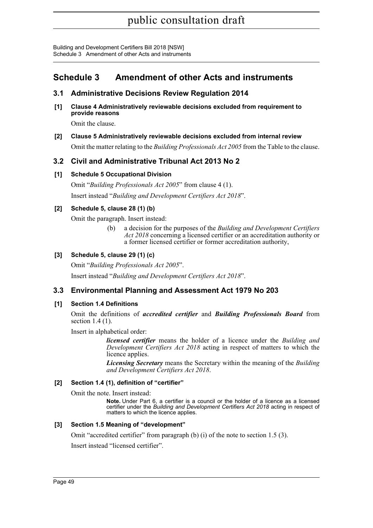## <span id="page-63-0"></span>**Schedule 3 Amendment of other Acts and instruments**

### **3.1 Administrative Decisions Review Regulation 2014**

**[1] Clause 4 Administratively reviewable decisions excluded from requirement to provide reasons**

Omit the clause.

**[2] Clause 5 Administratively reviewable decisions excluded from internal review**

Omit the matter relating to the *Building Professionals Act 2005* from the Table to the clause.

### **3.2 Civil and Administrative Tribunal Act 2013 No 2**

### **[1] Schedule 5 Occupational Division**

Omit "*Building Professionals Act 2005*" from clause 4 (1). Insert instead "*Building and Development Certifiers Act 2018*".

### **[2] Schedule 5, clause 28 (1) (b)**

Omit the paragraph. Insert instead:

(b) a decision for the purposes of the *Building and Development Certifiers Act 2018* concerning a licensed certifier or an accreditation authority or a former licensed certifier or former accreditation authority,

### **[3] Schedule 5, clause 29 (1) (c)**

Omit "*Building Professionals Act 2005*".

Insert instead "*Building and Development Certifiers Act 2018*".

### **3.3 Environmental Planning and Assessment Act 1979 No 203**

### **[1] Section 1.4 Definitions**

Omit the definitions of *accredited certifier* and *Building Professionals Board* from section 1.4 (1).

Insert in alphabetical order:

*licensed certifier* means the holder of a licence under the *Building and Development Certifiers Act 2018* acting in respect of matters to which the licence applies.

*Licensing Secretary* means the Secretary within the meaning of the *Building and Development Certifiers Act 2018*.

### **[2] Section 1.4 (1), definition of "certifier"**

Omit the note. Insert instead:

**Note.** Under Part 6, a certifier is a council or the holder of a licence as a licensed certifier under the *Building and Development Certifiers Act 2018* acting in respect of matters to which the licence applies.

### **[3] Section 1.5 Meaning of "development"**

Omit "accredited certifier" from paragraph (b) (i) of the note to section 1.5 (3).

Insert instead "licensed certifier".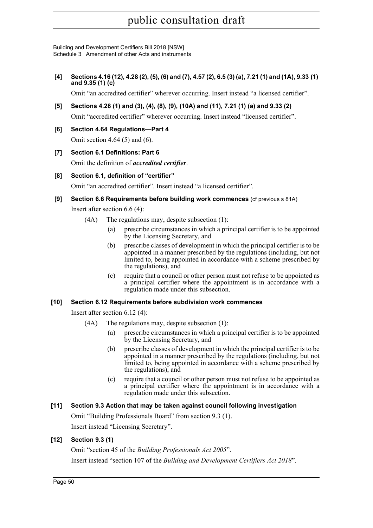Building and Development Certifiers Bill 2018 [NSW] Schedule 3 Amendment of other Acts and instruments

**[4] Sections 4.16 (12), 4.28 (2), (5), (6) and (7), 4.57 (2), 6.5 (3) (a), 7.21 (1) and (1A), 9.33 (1) and 9.35 (1) (c)**

Omit "an accredited certifier" wherever occurring. Insert instead "a licensed certifier".

- **[5] Sections 4.28 (1) and (3), (4), (8), (9), (10A) and (11), 7.21 (1) (a) and 9.33 (2)** Omit "accredited certifier" wherever occurring. Insert instead "licensed certifier".
- **[6] Section 4.64 Regulations—Part 4** Omit section 4.64 (5) and (6).
- **[7] Section 6.1 Definitions: Part 6** Omit the definition of *accredited certifier*.
- **[8] Section 6.1, definition of "certifier"**

Omit "an accredited certifier". Insert instead "a licensed certifier".

**[9] Section 6.6 Requirements before building work commences** (cf previous s 81A)

Insert after section 6.6 (4):

- (4A) The regulations may, despite subsection (1):
	- (a) prescribe circumstances in which a principal certifier is to be appointed by the Licensing Secretary, and
	- (b) prescribe classes of development in which the principal certifier is to be appointed in a manner prescribed by the regulations (including, but not limited to, being appointed in accordance with a scheme prescribed by the regulations), and
	- (c) require that a council or other person must not refuse to be appointed as a principal certifier where the appointment is in accordance with a regulation made under this subsection.

### **[10] Section 6.12 Requirements before subdivision work commences**

Insert after section 6.12 (4):

- (4A) The regulations may, despite subsection (1):
	- (a) prescribe circumstances in which a principal certifier is to be appointed by the Licensing Secretary, and
	- (b) prescribe classes of development in which the principal certifier is to be appointed in a manner prescribed by the regulations (including, but not limited to, being appointed in accordance with a scheme prescribed by the regulations), and
	- (c) require that a council or other person must not refuse to be appointed as a principal certifier where the appointment is in accordance with a regulation made under this subsection.

### **[11] Section 9.3 Action that may be taken against council following investigation**

Omit "Building Professionals Board" from section 9.3 (1). Insert instead "Licensing Secretary".

### **[12] Section 9.3 (1)**

Omit "section 45 of the *Building Professionals Act 2005*". Insert instead "section 107 of the *Building and Development Certifiers Act 2018*".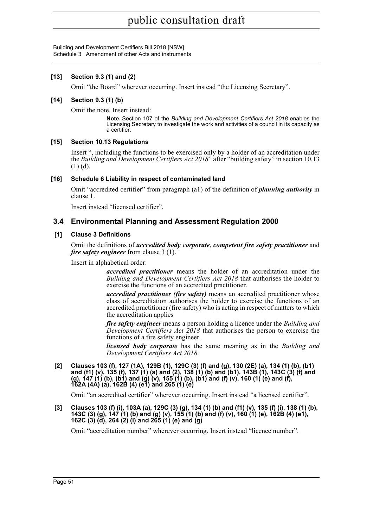### **[13] Section 9.3 (1) and (2)**

Omit "the Board" wherever occurring. Insert instead "the Licensing Secretary".

### **[14] Section 9.3 (1) (b)**

Omit the note. Insert instead:

**Note.** Section 107 of the *Building and Development Certifiers Act 2018* enables the Licensing Secretary to investigate the work and activities of a council in its capacity as a certifier.

### **[15] Section 10.13 Regulations**

Insert ", including the functions to be exercised only by a holder of an accreditation under the *Building and Development Certifiers Act 2018*" after "building safety" in section 10.13  $(1)$  (d).

### **[16] Schedule 6 Liability in respect of contaminated land**

Omit "accredited certifier" from paragraph (a1) of the definition of *planning authority* in clause 1.

Insert instead "licensed certifier".

### **3.4 Environmental Planning and Assessment Regulation 2000**

### **[1] Clause 3 Definitions**

Omit the definitions of *accredited body corporate*, *competent fire safety practitioner* and *fire safety engineer* from clause 3 (1).

Insert in alphabetical order:

*accredited practitioner* means the holder of an accreditation under the *Building and Development Certifiers Act 2018* that authorises the holder to exercise the functions of an accredited practitioner.

*accredited practitioner (fire safety)* means an accredited practitioner whose class of accreditation authorises the holder to exercise the functions of an accredited practitioner (fire safety) who is acting in respect of matters to which the accreditation applies

*fire safety engineer* means a person holding a licence under the *Building and Development Certifiers Act 2018* that authorises the person to exercise the functions of a fire safety engineer.

*licensed body corporate* has the same meaning as in the *Building and Development Certifiers Act 2018*.

**[2] Clauses 103 (f), 127 (1A), 129B (1), 129C (3) (f) and (g), 130 (2E) (a), 134 (1) (b), (b1) and (f1) (v), 135 (f), 137 (1) (a) and (2), 138 (1) (b) and (b1), 143B (1), 143C (3) (f) and (g), 147 (1) (b), (b1) and (g) (v), 155 (1) (b), (b1) and (f) (v), 160 (1) (e) and (f), 162A (4A) (a), 162B (4) (e1) and 265 (1) (e)**

Omit "an accredited certifier" wherever occurring. Insert instead "a licensed certifier".

**[3] Clauses 103 (f) (i), 103A (a), 129C (3) (g), 134 (1) (b) and (f1) (v), 135 (f) (i), 138 (1) (b), 143C (3) (g), 147 (1) (b) and (g) (v), 155 (1) (b) and (f) (v), 160 (1) (e), 162B (4) (e1), 162C (3) (d), 264 (2) (l) and 265 (1) (e) and (g)**

Omit "accreditation number" wherever occurring. Insert instead "licence number".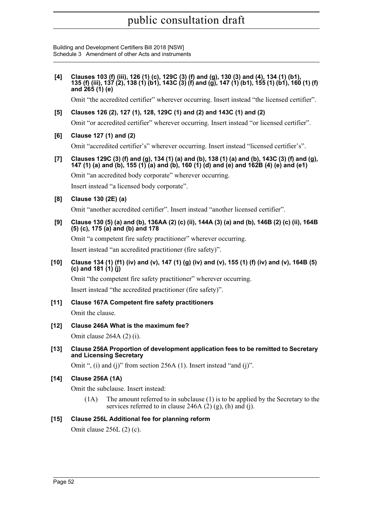Building and Development Certifiers Bill 2018 [NSW] Schedule 3 Amendment of other Acts and instruments

**[4] Clauses 103 (f) (iii), 126 (1) (c), 129C (3) (f) and (g), 130 (3) and (4), 134 (1) (b1), 135 (f) (iii), 137 (2), 138 (1) (b1), 143C (3) (f) and (g), 147 (1) (b1), 155 (1) (b1), 160 (1) (f) and 265 (1) (e)**

Omit "the accredited certifier" wherever occurring. Insert instead "the licensed certifier".

**[5] Clauses 126 (2), 127 (1), 128, 129C (1) and (2) and 143C (1) and (2)**

Omit "or accredited certifier" wherever occurring. Insert instead "or licensed certifier".

**[6] Clause 127 (1) and (2)** 

Omit "accredited certifier's" wherever occurring. Insert instead "licensed certifier's".

**[7] Clauses 129C (3) (f) and (g), 134 (1) (a) and (b), 138 (1) (a) and (b), 143C (3) (f) and (g), 147 (1) (a) and (b), 155 (1) (a) and (b), 160 (1) (d) and (e) and 162B (4) (e) and (e1)**

Omit "an accredited body corporate" wherever occurring. Insert instead "a licensed body corporate".

**[8] Clause 130 (2E) (a)**

Omit "another accredited certifier". Insert instead "another licensed certifier".

**[9] Clause 130 (5) (a) and (b), 136AA (2) (c) (ii), 144A (3) (a) and (b), 146B (2) (c) (ii), 164B (5) (c), 175 (a) and (b) and 178**

Omit "a competent fire safety practitioner" wherever occurring. Insert instead "an accredited practitioner (fire safety)".

**[10] Clause 134 (1) (f1) (iv) and (v), 147 (1) (g) (iv) and (v), 155 (1) (f) (iv) and (v), 164B (5) (c) and 181 (1) (j)**

Omit "the competent fire safety practitioner" wherever occurring.

Insert instead "the accredited practitioner (fire safety)".

- **[11] Clause 167A Competent fire safety practitioners** Omit the clause.
- **[12] Clause 246A What is the maximum fee?**

Omit clause 264A (2) (i).

**[13] Clause 256A Proportion of development application fees to be remitted to Secretary and Licensing Secretary** 

Omit ", (i) and (j)" from section 256A (1). Insert instead "and (j)".

### **[14] Clause 256A (1A)**

Omit the subclause. Insert instead:

(1A) The amount referred to in subclause (1) is to be applied by the Secretary to the services referred to in clause 246A  $(2)$   $(g)$ ,  $(h)$  and  $(i)$ .

### **[15] Clause 256L Additional fee for planning reform**

Omit clause 256L (2) (c).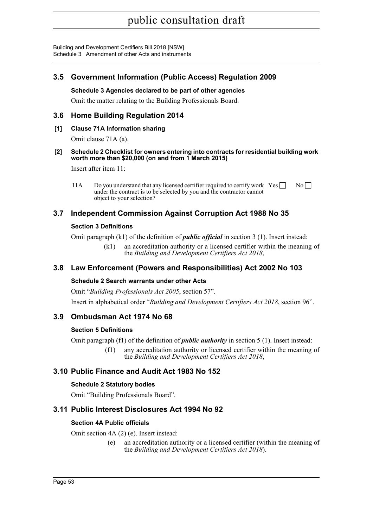### **3.5 Government Information (Public Access) Regulation 2009**

### **Schedule 3 Agencies declared to be part of other agencies**

Omit the matter relating to the Building Professionals Board.

### **3.6 Home Building Regulation 2014**

### **[1] Clause 71A Information sharing**

Omit clause 71A (a).

### **[2] Schedule 2 Checklist for owners entering into contracts for residential building work worth more than \$20,000 (on and from 1 March 2015)**

Insert after item 11:

11A Do you understand that any licensed certifier required to certify work  $\text{Yes} \square \text{No} \square$ under the contract is to be selected by you and the contractor cannot object to your selection?

### **3.7 Independent Commission Against Corruption Act 1988 No 35**

### **Section 3 Definitions**

Omit paragraph (k1) of the definition of *public official* in section 3 (1). Insert instead:

(k1) an accreditation authority or a licensed certifier within the meaning of the *Building and Development Certifiers Act 2018*,

### **3.8 Law Enforcement (Powers and Responsibilities) Act 2002 No 103**

### **Schedule 2 Search warrants under other Acts**

Omit "*Building Professionals Act 2005*, section 57". Insert in alphabetical order "*Building and Development Certifiers Act 2018*, section 96".

### **3.9 Ombudsman Act 1974 No 68**

### **Section 5 Definitions**

Omit paragraph (f1) of the definition of *public authority* in section 5 (1). Insert instead:

(f1) any accreditation authority or licensed certifier within the meaning of the *Building and Development Certifiers Act 2018*,

### **3.10 Public Finance and Audit Act 1983 No 152**

### **Schedule 2 Statutory bodies**

Omit "Building Professionals Board".

### **3.11 Public Interest Disclosures Act 1994 No 92**

### **Section 4A Public officials**

Omit section 4A (2) (e). Insert instead:

(e) an accreditation authority or a licensed certifier (within the meaning of the *Building and Development Certifiers Act 2018*).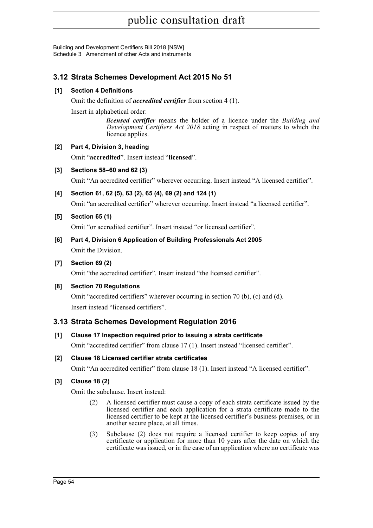### **3.12 Strata Schemes Development Act 2015 No 51**

### **[1] Section 4 Definitions**

Omit the definition of *accredited certifier* from section 4 (1).

Insert in alphabetical order:

*licensed certifier* means the holder of a licence under the *Building and Development Certifiers Act 2018* acting in respect of matters to which the licence applies.

### **[2] Part 4, Division 3, heading**

Omit "**accredited**". Insert instead "**licensed**".

### **[3] Sections 58–60 and 62 (3)**

Omit "An accredited certifier" wherever occurring. Insert instead "A licensed certifier".

**[4] Section 61, 62 (5), 63 (2), 65 (4), 69 (2) and 124 (1)**

Omit "an accredited certifier" wherever occurring. Insert instead "a licensed certifier".

### **[5] Section 65 (1)**

Omit "or accredited certifier". Insert instead "or licensed certifier".

**[6] Part 4, Division 6 Application of Building Professionals Act 2005** Omit the Division.

### **[7] Section 69 (2)**

Omit "the accredited certifier". Insert instead "the licensed certifier".

### **[8] Section 70 Regulations**

Omit "accredited certifiers" wherever occurring in section 70 (b), (c) and (d). Insert instead "licensed certifiers".

### **3.13 Strata Schemes Development Regulation 2016**

### **[1] Clause 17 Inspection required prior to issuing a strata certificate**

Omit "accredited certifier" from clause 17 (1). Insert instead "licensed certifier".

### **[2] Clause 18 Licensed certifier strata certificates**

Omit "An accredited certifier" from clause 18 (1). Insert instead "A licensed certifier".

### **[3] Clause 18 (2)**

Omit the subclause. Insert instead:

- (2) A licensed certifier must cause a copy of each strata certificate issued by the licensed certifier and each application for a strata certificate made to the licensed certifier to be kept at the licensed certifier's business premises, or in another secure place, at all times.
- (3) Subclause (2) does not require a licensed certifier to keep copies of any certificate or application for more than 10 years after the date on which the certificate was issued, or in the case of an application where no certificate was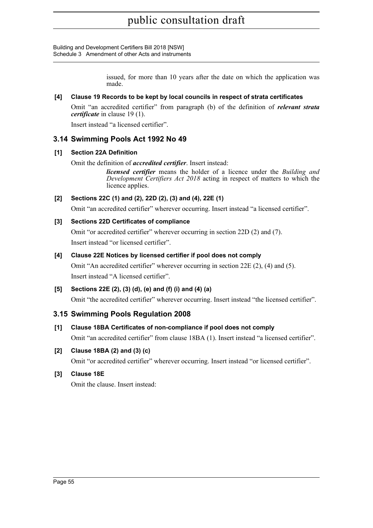> issued, for more than 10 years after the date on which the application was made.

### **[4] Clause 19 Records to be kept by local councils in respect of strata certificates**

Omit "an accredited certifier" from paragraph (b) of the definition of *relevant strata certificate* in clause 19 (1).

Insert instead "a licensed certifier".

### **3.14 Swimming Pools Act 1992 No 49**

### **[1] Section 22A Definition**

Omit the definition of *accredited certifier*. Insert instead:

*licensed certifier* means the holder of a licence under the *Building and Development Certifiers Act 2018* acting in respect of matters to which the licence applies.

### **[2] Sections 22C (1) and (2), 22D (2), (3) and (4), 22E (1)**

Omit "an accredited certifier" wherever occurring. Insert instead "a licensed certifier".

### **[3] Sections 22D Certificates of compliance**

Omit "or accredited certifier" wherever occurring in section 22D (2) and (7). Insert instead "or licensed certifier".

### **[4] Clause 22E Notices by licensed certifier if pool does not comply**

Omit "An accredited certifier" wherever occurring in section 22E (2), (4) and (5). Insert instead "A licensed certifier".

### **[5] Sections 22E (2), (3) (d), (e) and (f) (i) and (4) (a)**

Omit "the accredited certifier" wherever occurring. Insert instead "the licensed certifier".

### **3.15 Swimming Pools Regulation 2008**

### **[1] Clause 18BA Certificates of non-compliance if pool does not comply**

Omit "an accredited certifier" from clause 18BA (1). Insert instead "a licensed certifier".

### **[2] Clause 18BA (2) and (3) (c)**

Omit "or accredited certifier" wherever occurring. Insert instead "or licensed certifier".

### **[3] Clause 18E**

Omit the clause. Insert instead: